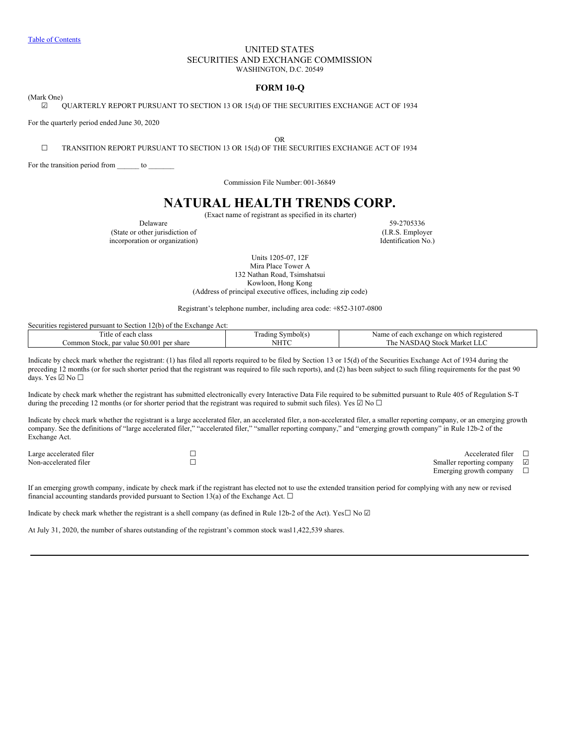# UNITED STATES SECURITIES AND EXCHANGE COMMISSION WASHINGTON, D.C. 20549

# **FORM 10-Q**

<span id="page-0-0"></span>(Mark One)

☑ QUARTERLY REPORT PURSUANT TO SECTION 13 OR 15(d) OF THE SECURITIES EXCHANGE ACT OF 1934

For the quarterly period ended June 30, 2020

OR

☐ TRANSITION REPORT PURSUANT TO SECTION 13 OR 15(d) OF THE SECURITIES EXCHANGE ACT OF 1934

For the transition period from \_\_\_\_\_\_\_ to \_\_\_\_\_\_

Commission File Number: 001-36849

# **NATURAL HEALTH TRENDS CORP.**

(Exact name of registrant as specified in its charter)

(State or other jurisdiction of incorporation or organization) Identification No.)

Delaware 59-2705336<br>
other jurisdiction of (I.R.S. Employer

Units 1205-07, 12F Mira Place Tower A 132 Nathan Road, Tsimshatsui Kowloon, Hong Kong (Address of principal executive offices, including zip code)

Registrant's telephone number, including area code: +852-3107-0800

| Securities registered pursuant to Section 12(b) of the Exchange Act: |                   |                                                |
|----------------------------------------------------------------------|-------------------|------------------------------------------------|
| l'itle of each class                                                 | Frading Symbol(s) | t each exchange on which registered<br>Name of |
| Common Stock, par value \$0.001 per share                            | NHTC              | The NASDAO Stock Market LLC                    |

Indicate by check mark whether the registrant: (1) has filed all reports required to be filed by Section 13 or 15(d) of the Securities Exchange Act of 1934 during the preceding 12 months (or for such shorter period that the registrant was required to file such reports), and (2) has been subject to such filing requirements for the past 90 days. Yes ☑ No ☐

Indicate by check mark whether the registrant has submitted electronically every Interactive Data File required to be submitted pursuant to Rule 405 of Regulation S-T during the preceding 12 months (or for shorter period that the registrant was required to submit such files). Yes  $\Box$  No  $\Box$ 

Indicate by check mark whether the registrant is a large accelerated filer, an accelerated filer, a non-accelerated filer, a smaller reporting company, or an emerging growth company. See the definitions of "large accelerated filer," "accelerated filer," "smaller reporting company," and "emerging growth company" in Rule 12b-2 of the Exchange Act.

| Large accelerated filer | Accelerated filer                       |
|-------------------------|-----------------------------------------|
| Non-accelerated filer   | Smaller reporting company<br>$\sqrt{ }$ |
|                         | Emerging growth company                 |

If an emerging growth company, indicate by check mark if the registrant has elected not to use the extended transition period for complying with any new or revised financial accounting standards provided pursuant to Section 13(a) of the Exchange Act.  $\Box$ 

Indicate by check mark whether the registrant is a shell company (as defined in Rule 12b-2 of the Act). Yes $\Box$  No  $\Box$ 

At July 31, 2020, the number of shares outstanding of the registrant's common stock was11,422,539 shares.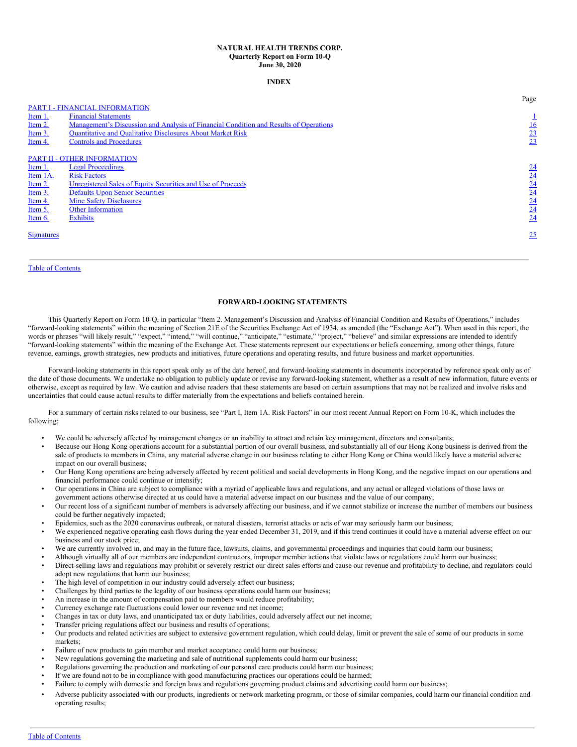#### **NATURAL HEALTH TRENDS CORP. Quarterly Report on Form 10-Q June 30, 2020**

## **INDEX**

|                   |                                                                                       | Page             |
|-------------------|---------------------------------------------------------------------------------------|------------------|
|                   | <b>PART I - FINANCIAL INFORMATION</b>                                                 |                  |
| Item 1.           | <b>Financial Statements</b>                                                           |                  |
| Item 2.           | Management's Discussion and Analysis of Financial Condition and Results of Operations | <u>16</u>        |
| Item 3.           | <b>Quantitative and Qualitative Disclosures About Market Risk</b>                     | 23               |
| Item 4.           | <b>Controls and Procedures</b>                                                        | $\overline{23}$  |
|                   |                                                                                       |                  |
|                   | <b>PART II - OTHER INFORMATION</b>                                                    |                  |
| Item 1.           | <b>Legal Proceedings</b>                                                              | $\underline{24}$ |
| Item 1A.          | <b>Risk Factors</b>                                                                   | 24               |
| Item 2.           | Unregistered Sales of Equity Securities and Use of Proceeds                           | 24               |
| Item 3.           | <b>Defaults Upon Senior Securities</b>                                                | 24               |
| Item 4.           | <b>Mine Safety Disclosures</b>                                                        | 24               |
| Item 5.           | <b>Other Information</b>                                                              | 24               |
| Item 6.           | <b>Exhibits</b>                                                                       | 24               |
|                   |                                                                                       |                  |
| <b>Signatures</b> |                                                                                       | 25               |
|                   |                                                                                       |                  |
|                   |                                                                                       |                  |

# Table of [Contents](#page-0-0)

# **FORWARD-LOOKING STATEMENTS**

This Quarterly Report on Form 10-Q, in particular "Item 2. Management's Discussion and Analysis of Financial Condition and Results of Operations," includes "forward-looking statements" within the meaning of Section 21E of the Securities Exchange Act of 1934, as amended (the "Exchange Act"). When used in this report, the words or phrases "will likely result," "expect," "intend," "will continue," "anticipate," "estimate," "project," "believe" and similar expressions are intended to identify "forward-looking statements" within the meaning of the Exchange Act. These statements represent our expectations or beliefs concerning, among other things, future revenue, earnings, growth strategies, new products and initiatives, future operations and operating results, and future business and market opportunities.

Forward-looking statements in this report speak only as of the date hereof, and forward-looking statements in documents incorporated by reference speak only as of the date of those documents. We undertake no obligation to publicly update or revise any forward-looking statement, whether as a result of new information, future events or otherwise, except as required by law. We caution and advise readers that these statements are based on certain assumptions that may not be realized and involve risks and uncertainties that could cause actual results to differ materially from the expectations and beliefs contained herein.

For a summary of certain risks related to our business, see "Part I, Item 1A. Risk Factors" in our most recent Annual Report on Form 10-K, which includes the following:

- We could be adversely affected by management changes or an inability to attract and retain key management, directors and consultants;
- Because our Hong Kong operations account for a substantial portion of our overall business, and substantially all of our Hong Kong business is derived from the sale of products to members in China, any material adverse change in our business relating to either Hong Kong or China would likely have a material adverse impact on our overall business;
- Our Hong Kong operations are being adversely affected by recent political and social developments in Hong Kong, and the negative impact on our operations and financial performance could continue or intensify;
- Our operations in China are subject to compliance with a myriad of applicable laws and regulations, and any actual or alleged violations of those laws or government actions otherwise directed at us could have a material adverse impact on our business and the value of our company;
- Our recent loss of a significant number of members is adversely affecting our business, and if we cannot stabilize or increase the number of members our business could be further negatively impacted;
- Epidemics, such as the 2020 coronavirus outbreak, or natural disasters, terrorist attacks or acts of war may seriously harm our business;
- We experienced negative operating cash flows during the year ended December 31, 2019, and if this trend continues it could have a material adverse effect on our business and our stock price;
- We are currently involved in, and may in the future face, lawsuits, claims, and governmental proceedings and inquiries that could harm our business;
- Although virtually all of our members are independent contractors, improper member actions that violate laws or regulations could harm our business;
- Direct-selling laws and regulations may prohibit or severely restrict our direct sales efforts and cause our revenue and profitability to decline, and regulators could adopt new regulations that harm our business;
- The high level of competition in our industry could adversely affect our business;
- Challenges by third parties to the legality of our business operations could harm our business;
- An increase in the amount of compensation paid to members would reduce profitability;
- Currency exchange rate fluctuations could lower our revenue and net income;
- Changes in tax or duty laws, and unanticipated tax or duty liabilities, could adversely affect our net income;
- Transfer pricing regulations affect our business and results of operations;
- Our products and related activities are subject to extensive government regulation, which could delay, limit or prevent the sale of some of our products in some markets;
- Failure of new products to gain member and market acceptance could harm our business;
- New regulations governing the marketing and sale of nutritional supplements could harm our business;
- Regulations governing the production and marketing of our personal care products could harm our business;
- If we are found not to be in compliance with good manufacturing practices our operations could be harmed;
- Failure to comply with domestic and foreign laws and regulations governing product claims and advertising could harm our business;
- Adverse publicity associated with our products, ingredients or network marketing program, or those of similar companies, could harm our financial condition and operating results;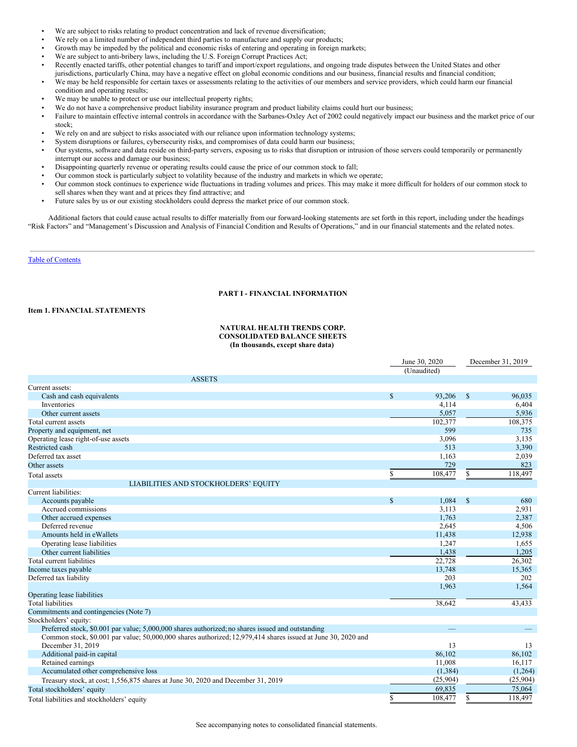- We are subject to risks relating to product concentration and lack of revenue diversification;
- We rely on a limited number of independent third parties to manufacture and supply our products;
- Growth may be impeded by the political and economic risks of entering and operating in foreign markets;
- We are subject to anti-bribery laws, including the U.S. Foreign Corrupt Practices Act;
- Recently enacted tariffs, other potential changes to tariff and import/export regulations, and ongoing trade disputes between the United States and other jurisdictions, particularly China, may have a negative effect on global economic conditions and our business, financial results and financial condition;
- We may be held responsible for certain taxes or assessments relating to the activities of our members and service providers, which could harm our financial condition and operating results;
- We may be unable to protect or use our intellectual property rights;
- We do not have a comprehensive product liability insurance program and product liability claims could hurt our business;
- Failure to maintain effective internal controls in accordance with the Sarbanes-Oxley Act of 2002 could negatively impact our business and the market price of our stock;
- We rely on and are subject to risks associated with our reliance upon information technology systems;
- System disruptions or failures, cybersecurity risks, and compromises of data could harm our business;
- Our systems, software and data reside on third-party servers, exposing us to risks that disruption or intrusion of those servers could temporarily or permanently interrupt our access and damage our business;
- Disappointing quarterly revenue or operating results could cause the price of our common stock to fall;
- Our common stock is particularly subject to volatility because of the industry and markets in which we operate;
- Our common stock continues to experience wide fluctuations in trading volumes and prices. This may make it more difficult for holders of our common stock to sell shares when they want and at prices they find attractive; and
- Future sales by us or our existing stockholders could depress the market price of our common stock.

Additional factors that could cause actual results to differ materially from our forward-looking statements are set forth in this report, including under the headings "Risk Factors" and "Management's Discussion and Analysis of Financial Condition and Results of Operations," and in our financial statements and the related notes.

### Table of [Contents](#page-0-0)

# **PART I - FINANCIAL INFORMATION**

# **Item 1. FINANCIAL STATEMENTS**

# **NATURAL HEALTH TRENDS CORP. CONSOLIDATED BALANCE SHEETS (In thousands, except share data)**

|                                                                                                              |               | June 30, 2020 |              | December 31, 2019 |
|--------------------------------------------------------------------------------------------------------------|---------------|---------------|--------------|-------------------|
|                                                                                                              |               | (Unaudited)   |              |                   |
| <b>ASSETS</b>                                                                                                |               |               |              |                   |
| Current assets:                                                                                              |               |               |              |                   |
| Cash and cash equivalents                                                                                    | $\mathbf S$   | 93,206        | <sup>S</sup> | 96,035            |
| Inventories                                                                                                  |               | 4,114         |              | 6,404             |
| Other current assets                                                                                         |               | 5,057         |              | 5,936             |
| Total current assets                                                                                         |               | 102,377       |              | 108,375           |
| Property and equipment, net                                                                                  |               | 599           |              | 735               |
| Operating lease right-of-use assets                                                                          |               | 3,096         |              | 3,135             |
| Restricted cash                                                                                              |               | 513           |              | 3,390             |
| Deferred tax asset                                                                                           |               | 1,163         |              | 2,039             |
| Other assets                                                                                                 |               | 729           |              | 823               |
| <b>Total</b> assets                                                                                          | \$            | 108,477       | S            | 118,497           |
| LIABILITIES AND STOCKHOLDERS' EQUITY                                                                         |               |               |              |                   |
| Current liabilities:                                                                                         |               |               |              |                   |
| Accounts payable                                                                                             | <sup>\$</sup> | 1,084         | $\mathbb{S}$ | 680               |
| Accrued commissions                                                                                          |               | 3,113         |              | 2,931             |
| Other accrued expenses                                                                                       |               | 1,763         |              | 2,387             |
| Deferred revenue                                                                                             |               | 2.645         |              | 4,506             |
| Amounts held in eWallets                                                                                     |               | 11,438        |              | 12,938            |
| Operating lease liabilities                                                                                  |               | 1,247         |              | 1,655             |
| Other current liabilities                                                                                    |               | 1,438         |              | 1,205             |
| Total current liabilities                                                                                    |               | 22,728        |              | 26,302            |
| Income taxes payable                                                                                         |               | 13,748        |              | 15,365            |
| Deferred tax liability                                                                                       |               | 203           |              | 202               |
|                                                                                                              |               | 1,963         |              | 1,564             |
| Operating lease liabilities                                                                                  |               |               |              |                   |
| <b>Total liabilities</b>                                                                                     |               | 38,642        |              | 43,433            |
| Commitments and contingencies (Note 7)                                                                       |               |               |              |                   |
| Stockholders' equity:                                                                                        |               |               |              |                   |
| Preferred stock, \$0,001 par value; 5,000,000 shares authorized; no shares issued and outstanding            |               | -             |              |                   |
| Common stock, \$0.001 par value; 50,000,000 shares authorized; 12,979,414 shares issued at June 30, 2020 and |               |               |              |                   |
| December 31, 2019                                                                                            |               | 13            |              | 13                |
| Additional paid-in capital                                                                                   |               | 86,102        |              | 86,102            |
| Retained earnings                                                                                            |               | 11,008        |              | 16,117            |
| Accumulated other comprehensive loss                                                                         |               | (1, 384)      |              | (1,264)           |
| Treasury stock, at cost; 1,556,875 shares at June 30, 2020 and December 31, 2019                             |               | (25,904)      |              | (25,904)          |
| Total stockholders' equity                                                                                   |               | 69,835        |              | 75,064            |
| Total liabilities and stockholders' equity                                                                   | S             | 108,477       | S            | 118,497           |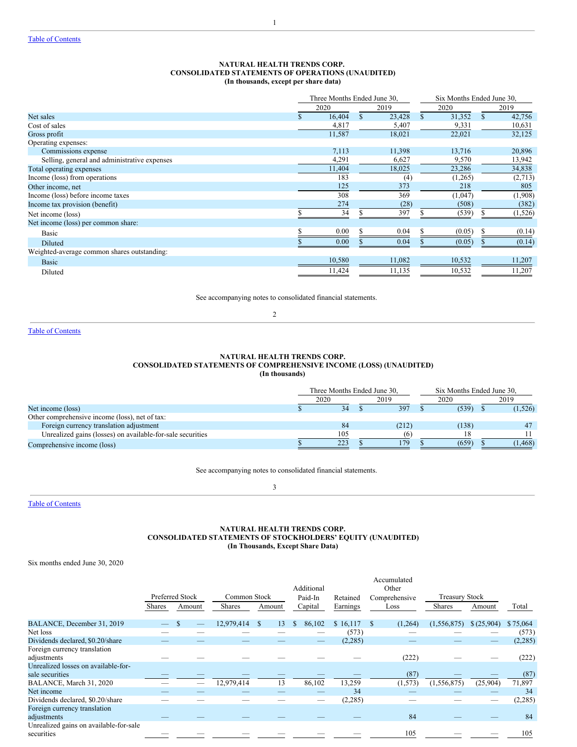# **NATURAL HEALTH TRENDS CORP. CONSOLIDATED STATEMENTS OF OPERATIONS (UNAUDITED) (In thousands, except per share data)**

1

|                                              | Three Months Ended June 30, |        |         | Six Months Ended June 30, |         |
|----------------------------------------------|-----------------------------|--------|---------|---------------------------|---------|
|                                              | 2020                        | 2019   | 2020    |                           | 2019    |
| Net sales                                    | 16,404                      | 23,428 | 31,352  | \$.                       | 42,756  |
| Cost of sales                                | 4,817                       | 5,407  | 9,331   |                           | 10,631  |
| Gross profit                                 | 11,587                      | 18,021 | 22,021  |                           | 32,125  |
| Operating expenses:                          |                             |        |         |                           |         |
| Commissions expense                          | 7,113                       | 11,398 | 13,716  |                           | 20,896  |
| Selling, general and administrative expenses | 4,291                       | 6,627  | 9,570   |                           | 13,942  |
| Total operating expenses                     | 11,404                      | 18,025 | 23,286  |                           | 34,838  |
| Income (loss) from operations                | 183                         | (4)    | (1,265) |                           | (2,713) |
| Other income, net                            | 125                         | 373    | 218     |                           | 805     |
| Income (loss) before income taxes            | 308                         | 369    | (1,047) |                           | (1,908) |
| Income tax provision (benefit)               | 274                         | (28)   | (508)   |                           | (382)   |
| Net income (loss)                            | 34                          | 397    | (539)   |                           | (1,526) |
| Net income (loss) per common share:          |                             |        |         |                           |         |
| Basic                                        | 0.00                        | 0.04   | (0.05)  |                           | (0.14)  |
| Diluted                                      | 0.00                        | 0.04   | (0.05)  |                           | (0.14)  |
| Weighted-average common shares outstanding:  |                             |        |         |                           |         |
| <b>Basic</b>                                 | 10,580                      | 11,082 | 10,532  |                           | 11,207  |
| Diluted                                      | 11,424                      | 11,135 | 10,532  |                           | 11,207  |

See accompanying notes to consolidated financial statements.

2

Table of [Contents](#page-0-0)

# **NATURAL HEALTH TRENDS CORP. CONSOLIDATED STATEMENTS OF COMPREHENSIVE INCOME (LOSS) (UNAUDITED) (In thousands)**

|                                                            | Three Months Ended June 30. |  | Six Months Ended June 30. |       |  |         |
|------------------------------------------------------------|-----------------------------|--|---------------------------|-------|--|---------|
|                                                            | 2020                        |  | 2019                      | 2020  |  | 2019    |
| Net income (loss)                                          | 34                          |  | 397                       | (539) |  | (1,526) |
| Other comprehensive income (loss), net of tax:             |                             |  |                           |       |  |         |
| Foreign currency translation adjustment                    | 84                          |  | (212)                     | (138) |  | 47      |
| Unrealized gains (losses) on available-for-sale securities | 105                         |  | (6)                       |       |  |         |
| Comprehensive income (loss)                                | 223                         |  | 179                       | (659) |  | 1,468   |

See accompanying notes to consolidated financial statements.

3

Table of [Contents](#page-0-0)

# **NATURAL HEALTH TRENDS CORP. CONSOLIDATED STATEMENTS OF STOCKHOLDERS' EQUITY (UNAUDITED) (In Thousands, Except Share Data)**

Six months ended June 30, 2020

|                                                      |               |                 |               |                     | Additional              |          | Accumulated<br>Other |                       |            |          |
|------------------------------------------------------|---------------|-----------------|---------------|---------------------|-------------------------|----------|----------------------|-----------------------|------------|----------|
|                                                      |               | Preferred Stock | Common Stock  |                     | Paid-In                 | Retained | Comprehensive        | <b>Treasury Stock</b> |            |          |
|                                                      | <b>Shares</b> | Amount          | <b>Shares</b> | Amount              | Capital                 | Earnings | Loss                 | <b>Shares</b>         | Amount     | Total    |
| BALANCE, December 31, 2019                           |               |                 | 12,979,414    | 13<br><sup>\$</sup> | <sup>\$</sup><br>86,102 | \$16,117 | (1,264)              | (1, 556, 875)         | \$(25,904) | \$75,064 |
| Net loss                                             |               |                 |               |                     |                         | (573)    |                      |                       |            | (573)    |
| Dividends declared, \$0.20/share                     |               |                 |               |                     |                         | (2, 285) |                      |                       |            | (2, 285) |
| Foreign currency translation<br>adjustments          |               |                 |               |                     |                         |          | (222)                |                       |            | (222)    |
| Unrealized losses on available-for-                  |               |                 |               |                     |                         |          |                      |                       |            |          |
| sale securities                                      |               |                 |               |                     |                         |          | (87)                 |                       |            | (87)     |
| BALANCE, March 31, 2020                              |               |                 | 12,979,414    | 13                  | 86,102                  | 13,259   | (1,573)              | (1, 556, 875)         | (25,904)   | 71,897   |
| Net income                                           |               |                 |               |                     |                         | 34       |                      |                       |            | 34       |
| Dividends declared, \$0.20/share                     |               |                 |               |                     |                         | (2,285)  |                      |                       |            | (2, 285) |
| Foreign currency translation                         |               |                 |               |                     |                         |          |                      |                       |            |          |
| adjustments                                          |               |                 |               |                     |                         |          | 84                   |                       |            | 84       |
| Unrealized gains on available-for-sale<br>securities |               |                 |               |                     |                         |          | 105                  |                       |            | 105      |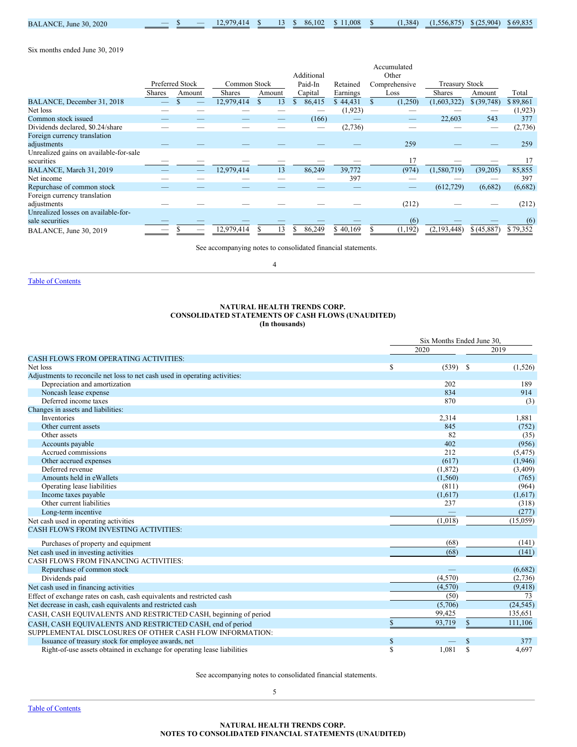| 30.2020<br><b>BALANCE</b><br>June |  | 12.070A1a<br>. |  | 102<br>-86. | .008 | 1.384 | 075<br>56.87 | .904<br>0/25<br>$\mathcal{L}$ | \$69.835 |
|-----------------------------------|--|----------------|--|-------------|------|-------|--------------|-------------------------------|----------|

Six months ended June 30, 2019

|                                        |               |                 |               |        | Additional   |          | Accumulated<br>Other |                       |              |          |
|----------------------------------------|---------------|-----------------|---------------|--------|--------------|----------|----------------------|-----------------------|--------------|----------|
|                                        |               | Preferred Stock | Common Stock  |        | Paid-In      | Retained | Comprehensive        | <b>Treasury Stock</b> |              |          |
|                                        | <b>Shares</b> | Amount          | <b>Shares</b> | Amount | Capital      | Earnings | Loss                 | <b>Shares</b>         | Amount       | Total    |
| BALANCE, December 31, 2018             |               |                 | 12,979,414    | 13     | \$<br>86,415 | \$44,431 | (1,250)              | (1,603,322)           | \$ (39, 748) | \$89,861 |
| Net loss                               |               |                 |               |        |              | (1,923)  |                      |                       |              | (1,923)  |
| Common stock issued                    |               |                 |               |        | (166)        |          |                      | 22,603                | 543          | 377      |
| Dividends declared, \$0.24/share       |               |                 |               |        |              | (2,736)  |                      |                       |              | (2,736)  |
| Foreign currency translation           |               |                 |               |        |              |          |                      |                       |              |          |
| adjustments                            |               |                 |               |        |              |          | 259                  |                       |              | 259      |
| Unrealized gains on available-for-sale |               |                 |               |        |              |          |                      |                       |              |          |
| securities                             |               |                 |               |        |              |          | 17                   |                       |              | 17       |
| BALANCE, March 31, 2019                |               |                 | 12,979,414    | 13     | 86,249       | 39,772   | (974)                | (1,580,719)           | (39,205)     | 85,855   |
| Net income                             |               |                 |               |        |              | 397      |                      |                       |              | 397      |
| Repurchase of common stock             |               |                 |               |        |              |          |                      | (612, 729)            | (6,682)      | (6,682)  |
| Foreign currency translation           |               |                 |               |        |              |          |                      |                       |              |          |
| adjustments                            |               |                 |               |        |              |          | (212)                |                       |              | (212)    |
| Unrealized losses on available-for-    |               |                 |               |        |              |          |                      |                       |              |          |
| sale securities                        |               |                 |               |        |              |          | (6)                  |                       |              | (6)      |
| BALANCE, June 30, 2019                 |               |                 | 12,979,414    | 13     | 86,249       | \$40,169 | (1, 192)             | (2,193,448)           | \$ (45,887)  | \$79,352 |

See accompanying notes to consolidated financial statements.

4

Table of [Contents](#page-0-0)

# **NATURAL HEALTH TRENDS CORP. CONSOLIDATED STATEMENTS OF CASH FLOWS (UNAUDITED) (In thousands)**

|                                                                             |             | Six Months Ended June 30, |              |           |
|-----------------------------------------------------------------------------|-------------|---------------------------|--------------|-----------|
|                                                                             |             | 2020                      |              | 2019      |
| <b>CASH FLOWS FROM OPERATING ACTIVITIES:</b>                                |             |                           |              |           |
| Net loss                                                                    | S           | (539)                     | - \$         | (1,526)   |
| Adjustments to reconcile net loss to net cash used in operating activities: |             |                           |              |           |
| Depreciation and amortization                                               |             | 202                       |              | 189       |
| Noncash lease expense                                                       |             | 834                       |              | 914       |
| Deferred income taxes                                                       |             | 870                       |              | (3)       |
| Changes in assets and liabilities:                                          |             |                           |              |           |
| Inventories                                                                 |             | 2,314                     |              | 1,881     |
| Other current assets                                                        |             | 845                       |              | (752)     |
| Other assets                                                                |             | 82                        |              | (35)      |
| Accounts payable                                                            |             | 402                       |              | (956)     |
| Accrued commissions                                                         |             | 212                       |              | (5, 475)  |
| Other accrued expenses                                                      |             | (617)                     |              | (1,946)   |
| Deferred revenue                                                            |             | (1, 872)                  |              | (3,409)   |
| Amounts held in eWallets                                                    |             | (1, 560)                  |              | (765)     |
| Operating lease liabilities                                                 |             | (811)                     |              | (964)     |
| Income taxes payable                                                        |             | (1,617)                   |              | (1,617)   |
| Other current liabilities                                                   |             | 237                       |              | (318)     |
| Long-term incentive                                                         |             |                           |              | (277)     |
| Net cash used in operating activities                                       |             | (1,018)                   |              | (15,059)  |
| <b>CASH FLOWS FROM INVESTING ACTIVITIES:</b>                                |             |                           |              |           |
| Purchases of property and equipment                                         |             | (68)                      |              | (141)     |
| Net cash used in investing activities                                       |             | (68)                      |              | (141)     |
| CASH FLOWS FROM FINANCING ACTIVITIES:                                       |             |                           |              |           |
| Repurchase of common stock                                                  |             |                           |              | (6,682)   |
| Dividends paid                                                              |             | (4,570)                   |              | (2,736)   |
| Net cash used in financing activities                                       |             | (4,570)                   |              | (9, 418)  |
| Effect of exchange rates on cash, cash equivalents and restricted cash      |             | (50)                      |              | 73        |
| Net decrease in cash, cash equivalents and restricted cash                  |             | (5,706)                   |              | (24, 545) |
| CASH, CASH EQUIVALENTS AND RESTRICTED CASH, beginning of period             |             | 99,425                    |              | 135,651   |
| CASH, CASH EQUIVALENTS AND RESTRICTED CASH, end of period                   | $\mathbf S$ | 93,719                    | $\mathbb{S}$ | 111,106   |
| SUPPLEMENTAL DISCLOSURES OF OTHER CASH FLOW INFORMATION:                    |             |                           |              |           |
| Issuance of treasury stock for employee awards, net                         | \$          |                           | S            | 377       |
| Right-of-use assets obtained in exchange for operating lease liabilities    | S           | 1.081                     | S            | 4.697     |

See accompanying notes to consolidated financial statements.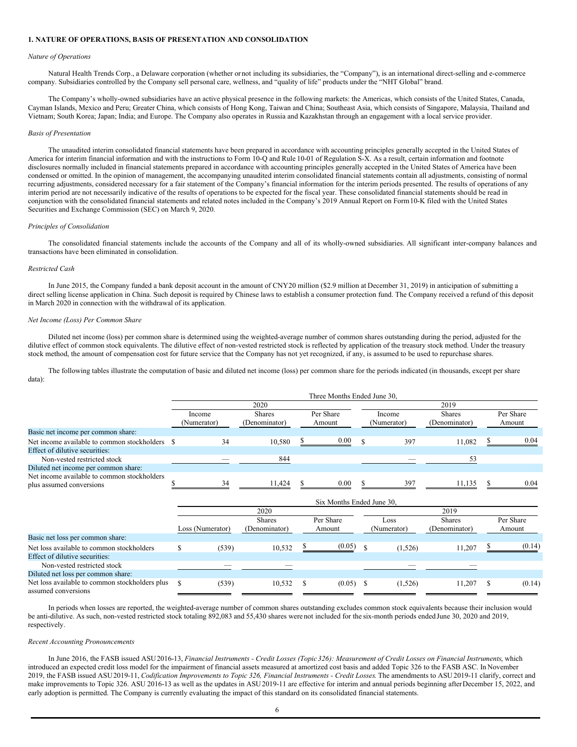# **1. NATURE OF OPERATIONS, BASIS OF PRESENTATION AND CONSOLIDATION**

#### *Nature of Operations*

Natural Health Trends Corp., a Delaware corporation (whether ornot including its subsidiaries, the "Company"), is an international direct-selling and e-commerce company. Subsidiaries controlled by the Company sell personal care, wellness, and "quality of life" products under the "NHT Global" brand.

The Company's wholly-owned subsidiaries have an active physical presence in the following markets: the Americas, which consists of the United States, Canada, Cayman Islands, Mexico and Peru; Greater China, which consists of Hong Kong, Taiwan and China; Southeast Asia, which consists of Singapore, Malaysia, Thailand and Vietnam; South Korea; Japan; India; and Europe. The Company also operates in Russia and Kazakhstan through an engagement with a local service provider.

#### *Basis of Presentation*

The unaudited interim consolidated financial statements have been prepared in accordance with accounting principles generally accepted in the United States of America for interim financial information and with the instructions to Form 10-Q and Rule 10-01 of Regulation S-X. As a result, certain information and footnote disclosures normally included in financial statements prepared in accordance with accounting principles generally accepted in the United States of America have been condensed or omitted. In the opinion of management, the accompanying unaudited interim consolidated financial statements contain all adjustments, consisting of normal recurring adjustments, considered necessary for a fair statement of the Company's financial information for the interim periods presented. The results of operations of any interim period are not necessarily indicative of the results of operations to be expected for the fiscal year. These consolidated financial statements should be read in conjunction with the consolidated financial statements and related notes included in the Company's 2019 Annual Report on Form10-K filed with the United States Securities and Exchange Commission (SEC) on March 9, 2020.

#### *Principles of Consolidation*

The consolidated financial statements include the accounts of the Company and all of its wholly-owned subsidiaries. All significant inter-company balances and transactions have been eliminated in consolidation.

### *Restricted Cash*

In June 2015, the Company funded a bank deposit account in the amount of CNY20 million (\$2.9 million at December 31, 2019) in anticipation of submitting a direct selling license application in China. Such deposit is required by Chinese laws to establish a consumer protection fund. The Company received a refund of this deposit in March 2020 in connection with the withdrawal of its application.

# *Net Income (Loss) Per Common Share*

Diluted net income (loss) per common share is determined using the weighted-average number of common shares outstanding during the period, adjusted for the dilutive effect of common stock equivalents. The dilutive effect of non-vested restricted stock is reflected by application of the treasury stock method. Under the treasury stock method, the amount of compensation cost for future service that the Company has not yet recognized, if any, is assumed to be used to repurchase shares.

The following tables illustrate the computation of basic and diluted net income (loss) per common share for the periods indicated (in thousands, except per share data):

|                                                                         | Three Months Ended June 30, |               |        |           |             |        |               |  |           |  |  |  |
|-------------------------------------------------------------------------|-----------------------------|---------------|--------|-----------|-------------|--------|---------------|--|-----------|--|--|--|
|                                                                         |                             | 2020          |        |           |             |        | 2019          |  |           |  |  |  |
|                                                                         | Income                      | <b>Shares</b> |        | Per Share |             | Income | <b>Shares</b> |  | Per Share |  |  |  |
|                                                                         | (Numerator)                 | (Denominator) | Amount |           | (Numerator) |        | (Denominator) |  | Amount    |  |  |  |
| Basic net income per common share:                                      |                             |               |        |           |             |        |               |  |           |  |  |  |
| Net income available to common stockholders                             | 34                          | 10.580        |        | 0.00      |             | 397    | 11.082        |  | 0.04      |  |  |  |
| Effect of dilutive securities:                                          |                             |               |        |           |             |        |               |  |           |  |  |  |
| Non-vested restricted stock                                             |                             | 844           |        |           |             |        | 53            |  |           |  |  |  |
| Diluted net income per common share:                                    |                             |               |        |           |             |        |               |  |           |  |  |  |
| Net income available to common stockholders<br>plus assumed conversions | 34                          | 11.424        |        | 0.00      |             | 397    | 11.135        |  | 0.04      |  |  |  |

|                                                                       |                  | Six Months Ended June 30. |                                |  |                     |  |                     |                                |  |                     |  |  |  |
|-----------------------------------------------------------------------|------------------|---------------------------|--------------------------------|--|---------------------|--|---------------------|--------------------------------|--|---------------------|--|--|--|
|                                                                       |                  | 2019<br>2020              |                                |  |                     |  |                     |                                |  |                     |  |  |  |
|                                                                       | Loss (Numerator) |                           | <b>Shares</b><br>(Denominator) |  | Per Share<br>Amount |  | Loss<br>(Numerator) | <b>Shares</b><br>(Denominator) |  | Per Share<br>Amount |  |  |  |
| Basic net loss per common share:                                      |                  |                           |                                |  |                     |  |                     |                                |  |                     |  |  |  |
| Net loss available to common stockholders                             |                  | (539)                     | 10.532                         |  | (0.05)              |  | (1,526)             | 11.207                         |  | (0.14)              |  |  |  |
| Effect of dilutive securities:                                        |                  |                           |                                |  |                     |  |                     |                                |  |                     |  |  |  |
| Non-vested restricted stock                                           |                  | _                         |                                |  |                     |  |                     |                                |  |                     |  |  |  |
| Diluted net loss per common share:                                    |                  |                           |                                |  |                     |  |                     |                                |  |                     |  |  |  |
| Net loss available to common stockholders plus<br>assumed conversions |                  | (539)                     | 10,532                         |  | (0.05)              |  | (1,526)             | 11,207                         |  | (0.14)              |  |  |  |

In periods when losses are reported, the weighted-average number of common shares outstanding excludes common stock equivalents because their inclusion would be anti-dilutive. As such, non-vested restricted stock totaling 892,083 and 55,430 shares were not included for the six-month periods ended June 30, 2020 and 2019, respectively.

## *Recent Accounting Pronouncements*

In June 2016, the FASB issued ASU 2016-13, Financial Instruments - Credit Losses (Topic 326): Measurement of Credit Losses on Financial Instruments, which introduced an expected credit loss model for the impairment of financial assets measured at amortized cost basis and added Topic 326 to the FASB ASC. In November 2019, the FASB issued ASU 2019-11, Codification Improvements to Topic 326, Financial Instruments - Credit Losses. The amendments to ASU 2019-11 clarify, correct and make improvements to Topic 326. ASU 2016-13 as well as the updates in ASU2019-11 are effective for interim and annual periods beginning afterDecember 15, 2022, and early adoption is permitted. The Company is currently evaluating the impact of this standard on its consolidated financial statements.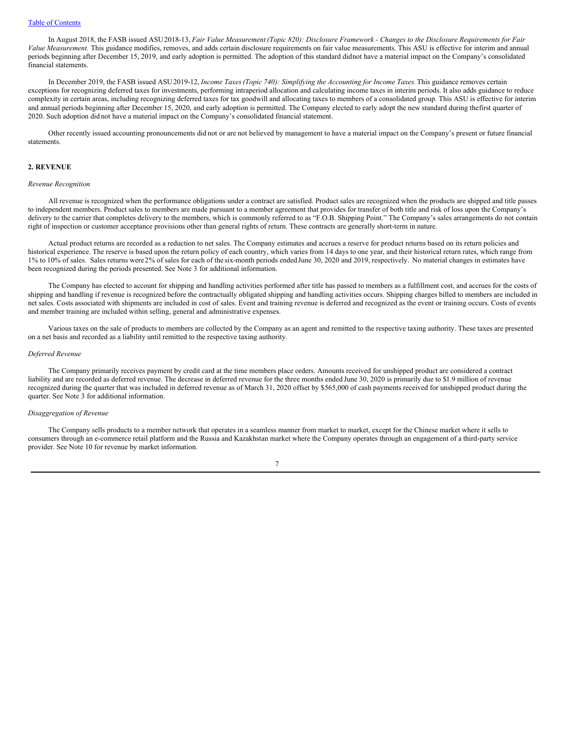In August 2018, the FASB issued ASU 2018-13, Fair Value Measurement (Topic 820): Disclosure Framework - Changes to the Disclosure Requirements for Fair *Value Measurement.* This guidance modifies, removes, and adds certain disclosure requirements on fair value measurements. This ASU is effective for interim and annual periods beginning after December 15, 2019, and early adoption is permitted. The adoption of this standard didnot have a material impact on the Company's consolidated financial statements.

In December 2019, the FASB issued ASU2019-12, *Income Taxes(Topic 740): Simplifying the Accounting for Income Taxes.*This guidance removes certain exceptions for recognizing deferred taxes for investments, performing intraperiod allocation and calculating income taxes in interim periods. It also adds guidance to reduce complexity in certain areas, including recognizing deferred taxes for tax goodwill and allocating taxes to members of a consolidated group. This ASU is effective for interim and annual periods beginning after December 15, 2020, and early adoption is permitted. The Company elected to early adopt the new standard during thefirst quarter of 2020. Such adoption did not have a material impact on the Company's consolidated financial statement.

Other recently issued accounting pronouncements did not or are not believed by management to have a material impact on the Company's present or future financial statements.

### **2. REVENUE**

#### *Revenue Recognition*

All revenue is recognized when the performance obligations under a contract are satisfied. Product sales are recognized when the products are shipped and title passes to independent members. Product sales to members are made pursuant to a member agreement that provides for transfer of both title and risk of loss upon the Company's delivery to the carrier that completes delivery to the members, which is commonly referred to as "F.O.B. Shipping Point." The Company's sales arrangements do not contain right of inspection or customer acceptance provisions other than general rights of return. These contracts are generally short-term in nature.

Actual product returns are recorded as a reduction to net sales. The Company estimates and accrues a reserve for product returns based on its return policies and historical experience. The reserve is based upon the return policy of each country, which varies from 14 days to one year, and their historical return rates, which range from 1% to 10% of sales. Sales returns were 2% of sales for each of the six-month periods ended June 30, 2020 and 2019, respectively. No material changes in estimates have been recognized during the periods presented. See Note 3 for additional information.

The Company has elected to account for shipping and handling activities performed after title has passed to members as a fulfillment cost, and accrues for the costs of shipping and handling if revenue is recognized before the contractually obligated shipping and handling activities occurs. Shipping charges billed to members are included in net sales. Costs associated with shipments are included in cost of sales. Event and training revenue is deferred and recognized as the event or training occurs. Costs of events and member training are included within selling, general and administrative expenses.

Various taxes on the sale of products to members are collected by the Company as an agent and remitted to the respective taxing authority. These taxes are presented on a net basis and recorded as a liability until remitted to the respective taxing authority.

# *Deferred Revenue*

The Company primarily receives payment by credit card at the time members place orders. Amounts received for unshipped product are considered a contract liability and are recorded as deferred revenue. The decrease in deferred revenue for the three months ended June 30, 2020 is primarily due to \$1.9 million of revenue recognized during the quarter that was included in deferred revenue as of March 31, 2020 offset by \$565,000 of cash payments received for unshipped product during the quarter. See Note 3 for additional information.

# *Disaggregation of Revenue*

The Company sells products to a member network that operates in a seamless manner from market to market, except for the Chinese market where it sells to consumers through an e-commerce retail platform and the Russia and Kazakhstan market where the Company operates through an engagement of a third-party service provider. See Note 10 for revenue by market information.

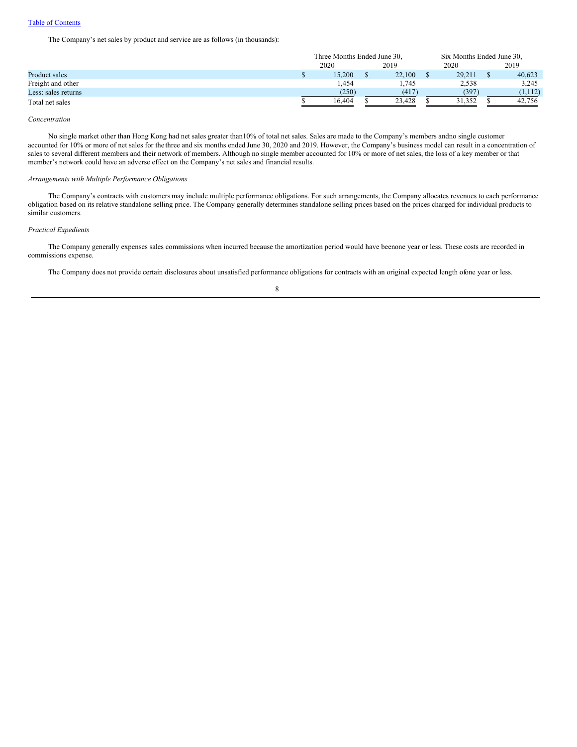The Company's net sales by product and service are as follows (in thousands):

|                      | Three Months Ended June 30. |      |        | Six Months Ended June 30. |        |  |         |
|----------------------|-----------------------------|------|--------|---------------------------|--------|--|---------|
|                      | 2020                        | 2019 |        | 2020                      |        |  | 2019    |
| <b>Product sales</b> | 15.200                      |      | 22,100 |                           | 29.211 |  | 40.623  |
| Freight and other    | 1,454                       |      | 1,745  |                           | 2,538  |  | 3,245   |
| Less: sales returns  | (250)                       |      | (417)  |                           | (397)  |  | (1,112) |
| Total net sales      | 16.404                      |      | 23.428 |                           | 31.352 |  | 42.756  |

*Concentration*

No single market other than Hong Kong had net sales greater than10% of total net sales. Sales are made to the Company's members andno single customer accounted for 10% or more of net sales for the three and six months ended June 30, 2020 and 2019. However, the Company's business model can result in a concentration of sales to several different members and their network of members. Although no single member accounted for 10% or more of net sales, the loss of a key member or that member's network could have an adverse effect on the Company's net sales and financial results.

#### *Arrangements with Multiple Performance Obligations*

The Company's contracts with customers may include multiple performance obligations. For such arrangements, the Company allocates revenues to each performance obligation based on its relative standalone selling price. The Company generally determines standalone selling prices based on the prices charged for individual products to similar customers.

# *Practical Expedients*

The Company generally expenses sales commissions when incurred because the amortization period would have beenone year or less. These costs are recorded in commissions expense.

The Company does not provide certain disclosures about unsatisfied performance obligations for contracts with an original expected length ofone year or less.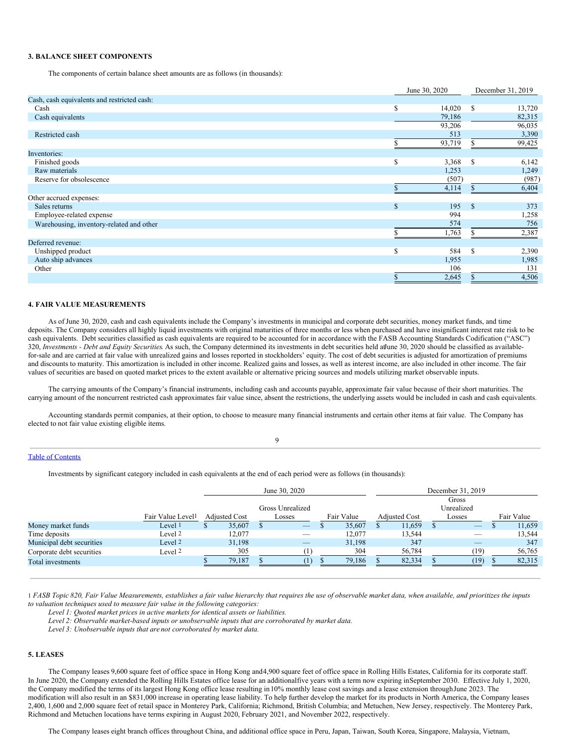## **3. BALANCE SHEET COMPONENTS**

The components of certain balance sheet amounts are as follows (in thousands):

|                                             |   | June 30, 2020 | December 31, 2019 |        |  |
|---------------------------------------------|---|---------------|-------------------|--------|--|
| Cash, cash equivalents and restricted cash: |   |               |                   |        |  |
| Cash                                        | S | 14,020        | <sup>S</sup>      | 13,720 |  |
| Cash equivalents                            |   | 79,186        |                   | 82,315 |  |
|                                             |   | 93,206        |                   | 96,035 |  |
| Restricted cash                             |   | 513           |                   | 3,390  |  |
|                                             |   | 93,719        |                   | 99,425 |  |
| Inventories:                                |   |               |                   |        |  |
| Finished goods                              | S | 3,368         | - S               | 6,142  |  |
| Raw materials                               |   | 1,253         |                   | 1,249  |  |
| Reserve for obsolescence                    |   | (507)         |                   | (987)  |  |
|                                             |   | 4,114         |                   | 6,404  |  |
| Other accrued expenses:                     |   |               |                   |        |  |
| Sales returns                               | S | 195           | $\mathbf{s}$      | 373    |  |
| Employee-related expense                    |   | 994           |                   | 1,258  |  |
| Warehousing, inventory-related and other    |   | 574           |                   | 756    |  |
|                                             |   | 1,763         |                   | 2,387  |  |
| Deferred revenue:                           |   |               |                   |        |  |
| Unshipped product                           | S | 584           | $\mathcal{S}$     | 2,390  |  |
| Auto ship advances                          |   | 1,955         |                   | 1,985  |  |
| Other                                       |   | 106           |                   | 131    |  |
|                                             |   | 2,645         |                   | 4,506  |  |

### **4. FAIR VALUE MEASUREMENTS**

As of June 30, 2020, cash and cash equivalents include the Company's investments in municipal and corporate debt securities, money market funds, and time deposits. The Company considers all highly liquid investments with original maturities of three months or less when purchased and have insignificant interest rate risk to be cash equivalents. Debt securities classified as cash equivalents are required to be accounted for in accordance with the FASB Accounting Standards Codification ("ASC") 320, *Investments - Debt and Equity Securities*. As such, the Company determined its investments in debt securities held atJune 30, 2020 should be classified as availablefor-sale and are carried at fair value with unrealized gains and losses reported in stockholders' equity. The cost of debt securities is adjusted for amortization of premiums and discounts to maturity. This amortization is included in other income. Realized gains and losses, as well as interest income, are also included in other income. The fair values of securities are based on quoted market prices to the extent available or alternative pricing sources and models utilizing market observable inputs.

The carrying amounts of the Company's financial instruments, including cash and accounts payable, approximate fair value because of their short maturities. The carrying amount of the noncurrent restricted cash approximates fair value since, absent the restrictions, the underlying assets would be included in cash and cash equivalents.

Accounting standards permit companies, at their option, to choose to measure many financial instruments and certain other items at fair value. The Company has elected to not fair value existing eligible items.

# $\overline{Q}$

# Table of [Contents](#page-0-0)

Investments by significant category included in cash equivalents at the end of each period were as follows (in thousands):

|                           |                               | June 30, 2020        |  |                          |  |            |  |                      | December 31, 2019 |                                 |  |            |
|---------------------------|-------------------------------|----------------------|--|--------------------------|--|------------|--|----------------------|-------------------|---------------------------------|--|------------|
|                           |                               |                      |  |                          |  | Gross      |  |                      |                   |                                 |  |            |
|                           |                               |                      |  | Gross Unrealized         |  |            |  |                      |                   | Unrealized                      |  |            |
|                           | Fair Value Level <sup>1</sup> | <b>Adjusted Cost</b> |  | Losses                   |  | Fair Value |  | <b>Adjusted Cost</b> |                   | Losses                          |  | Fair Value |
| Money market funds        | Level 1                       | 35,607               |  |                          |  | 35,607     |  | 11,659               |                   |                                 |  | 11,659     |
| Time deposits             | Level <sup>2</sup>            | 12.077               |  | $\overline{\phantom{a}}$ |  | 12.077     |  | 13,544               |                   | $\hspace{0.1mm}-\hspace{0.1mm}$ |  | 13.544     |
| Municipal debt securities | Level 2                       | 31.198               |  |                          |  | 31,198     |  | 347                  |                   |                                 |  | 347        |
| Corporate debt securities | Level 2                       | 305                  |  |                          |  | 304        |  | 56,784               |                   | (19)                            |  | 56,765     |
| Total investments         |                               | 79.187               |  |                          |  | 79,186     |  | 82.334               |                   | (19)                            |  | 82,315     |

1 FASB Topic 820, Fair Value Measurements, establishes a fair value hierarchy that requires the use of observable market data, when available, and prioritizes the inputs *to valuation techniques used to measure fair value in the following categories:*

*Level 1: Quoted market prices in active markets for identical assets or liabilities.*

*Level 2: Observable market-based inputs or unobservable inputs that are corroborated by market data.*

*Level 3: Unobservable inputs that are not corroborated by market data.*

# **5. LEASES**

The Company leases 9,600 square feet of office space in Hong Kong and4,900 square feet of office space in Rolling Hills Estates, California for its corporate staff. In June 2020, the Company extended the Rolling Hills Estates office lease for an additionalfive years with a term now expiring inSeptember 2030. Effective July 1, 2020, the Company modified the terms of its largest Hong Kong office lease resulting in 10% monthly lease cost savings and a lease extension through June 2023. The modification will also result in an \$831,000 increase in operating lease liability. To help further develop the market for its products in North America, the Company leases 2,400, 1,600 and 2,000 square feet of retail space in Monterey Park, California; Richmond, British Columbia; and Metuchen, New Jersey, respectively. The Monterey Park, Richmond and Metuchen locations have terms expiring in August 2020, February 2021, and November 2022, respectively.

The Company leases eight branch offices throughout China, and additional office space in Peru, Japan, Taiwan, South Korea, Singapore, Malaysia, Vietnam,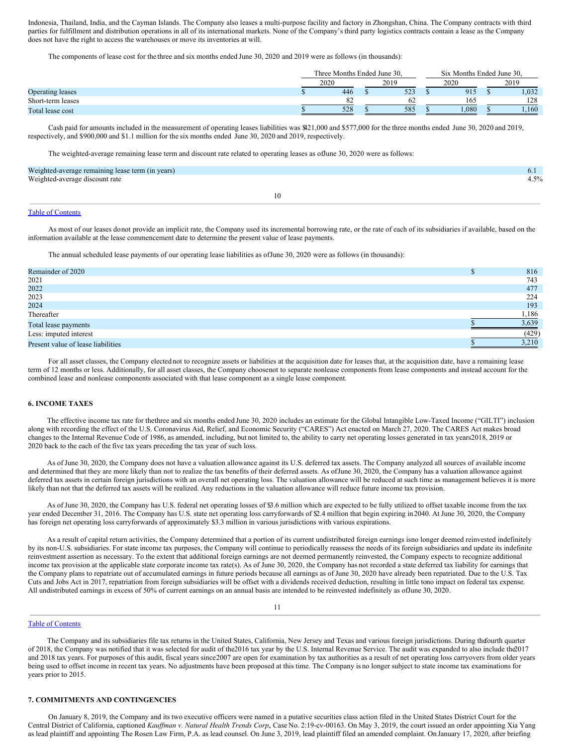Indonesia, Thailand, India, and the Cayman Islands. The Company also leases a multi-purpose facility and factory in Zhongshan, China. The Company contracts with third parties for fulfillment and distribution operations in all of its international markets. None of the Company's third party logistics contracts contain a lease as the Company does not have the right to access the warehouses or move its inventories at will.

The components of lease cost for the three and six months ended June 30, 2020 and 2019 were as follows (in thousands):

|                         | Three Months Ended June 30. |         |  |      |  | Six Months Ended June 30. |  |       |  |
|-------------------------|-----------------------------|---------|--|------|--|---------------------------|--|-------|--|
|                         | 2020                        |         |  | 2019 |  | 2020                      |  | 2019  |  |
| <b>Operating leases</b> |                             | 446     |  | 523  |  | 915                       |  | 1,032 |  |
| Short-term leases       |                             | $\circ$ |  | 62   |  | 165                       |  | 128   |  |
| Total lease cost        |                             | 528     |  | 585  |  | 1,080                     |  | .160  |  |

Cash paid for amounts included in the measurement of operating leases liabilities was \$421,000 and \$577,000 for the three months ended June 30, 2020 and 2019, respectively, and \$900,000 and \$1.1 million for the six months ended June 30, 2020 and 2019, respectively.

The weighted-average remaining lease term and discount rate related to operating leases as ofJune 30, 2020 were as follows:

| Weighted-average remaining lease term (in years) |    | 6.1     |
|--------------------------------------------------|----|---------|
| Weighted-average discount rate                   |    | $4.5\%$ |
|                                                  | 10 |         |

# Table of [Contents](#page-0-0)

As most of our leases donot provide an implicit rate, the Company used its incremental borrowing rate, or the rate of each of its subsidiaries if available, based on the information available at the lease commencement date to determine the present value of lease payments.

The annual scheduled lease payments of our operating lease liabilities as ofJune 30, 2020 were as follows (in thousands):

| Remainder of 2020                  | 816   |
|------------------------------------|-------|
| 2021                               | 743   |
| 2022                               | 477   |
| 2023                               | 224   |
| 2024                               | 193   |
| Thereafter                         | 1,186 |
| Total lease payments               | 3,639 |
| Less: imputed interest             | (429) |
| Present value of lease liabilities | 3.210 |

For all asset classes, the Company elected not to recognize assets or liabilities at the acquisition date for leases that, at the acquisition date, have a remaining lease term of 12 months or less. Additionally, for all asset classes, the Company choosenot to separate nonlease components from lease components and instead account for the combined lease and nonlease components associated with that lease component as a single lease component.

# **6. INCOME TAXES**

The effective income tax rate for thethree and six months ended June 30, 2020 includes an estimate for the Global Intangible Low-Taxed Income ("GILTI") inclusion along with recording the effect of the U.S. Coronavirus Aid, Relief, and Economic Security ("CARES") Act enacted on March 27, 2020. The CARES Act makes broad changes to the Internal Revenue Code of 1986, as amended, including, but not limited to, the ability to carry net operating losses generated in tax years2018, 2019 or 2020 back to the each of the five tax years preceding the tax year of such loss.

As of June 30, 2020, the Company does not have a valuation allowance against its U.S. deferred tax assets. The Company analyzed all sources of available income and determined that they are more likely than not to realize the tax benefits of their deferred assets. As of June 30, 2020, the Company has a valuation allowance against deferred tax assets in certain foreign jurisdictions with an overall net operating loss. The valuation allowance will be reduced at such time as management believes it is more likely than not that the deferred tax assets will be realized. Any reductions in the valuation allowance will reduce future income tax provision.

As of June 30, 2020, the Company has U.S. federal net operating losses of \$3.6 million which are expected to be fully utilized to offset taxable income from the tax year ended December 31, 2016. The Company has U.S. state net operating loss carryforwards of \$2.4 million that begin expiring in 2040. At June 30, 2020, the Company has foreign net operating loss carryforwards of approximately \$3.3 million in various jurisdictions with various expirations.

As a result of capital return activities, the Company determined that a portion of its current undistributed foreign earnings isno longer deemed reinvested indefinitely by its non-U.S. subsidiaries. For state income tax purposes, the Company will continue to periodically reassess the needs of its foreign subsidiaries and update its indefinite reinvestment assertion as necessary. To the extent that additional foreign earnings are not deemed permanently reinvested, the Company expects to recognize additional income tax provision at the applicable state corporate income tax rate(s). As of June 30, 2020, the Company has not recorded a state deferred tax liability for earnings that the Company plans to repatriate out of accumulated earnings in future periods because all earnings as of June 30, 2020 have already been repatriated. Due to the U.S. Tax Cuts and Jobs Act in 2017, repatriation from foreign subsidiaries will be offset with a dividends received deduction, resulting in little tono impact on federal tax expense. All undistributed earnings in excess of 50% of current earnings on an annual basis are intended to be reinvested indefinitely as ofJune 30, 2020.

#### Table of [Contents](#page-0-0)

The Company and its subsidiaries file tax returns in the United States, California, New Jersey and Texas and various foreign jurisdictions. During thefourth quarter of 2018, the Company was notified that it was selected for audit of the2016 tax year by the U.S. Internal Revenue Service. The audit was expanded to also include the2017 and 2018 tax years. For purposes of this audit, fiscal years since 2007 are open for examination by tax authorities as a result of net operating loss carryovers from older years being used to offset income in recent tax years. No adjustments have been proposed at this time. The Company is no longer subject to state income tax examinations for years prior to 2015.

# **7. COMMITMENTS AND CONTINGENCIES**

On January 8, 2019, the Company and its two executive officers were named in a putative securities class action filed in the United States District Court for the Central District of California, captioned *Kauffman v. Natural Health Trends Corp.*, Case No. 2:19-cv-00163. On May 3, 2019, the court issued an order appointing Xia Yang as lead plaintiff and appointing The Rosen Law Firm, P.A. as lead counsel. On June 3, 2019, lead plaintiff filed an amended complaint. On January 17, 2020, after briefing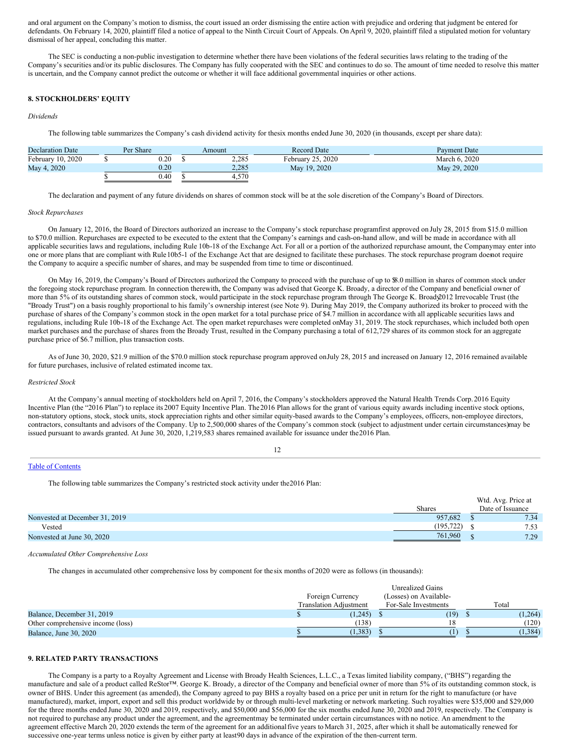and oral argument on the Company's motion to dismiss, the court issued an order dismissing the entire action with prejudice and ordering that judgment be entered for defendants. On February 14, 2020, plaintiff filed a notice of appeal to the Ninth Circuit Court of Appeals. On April 9, 2020, plaintiff filed a stipulated motion for voluntary dismissal of her appeal, concluding this matter.

The SEC is conducting a non-public investigation to determine whether there have been violations of the federal securities laws relating to the trading of the Company's securities and/or its public disclosures. The Company has fully cooperated with the SEC and continues to do so. The amount of time needed to resolve this matter is uncertain, and the Company cannot predict the outcome or whether it will face additional governmental inquiries or other actions.

# **8. STOCKHOLDERS' EQUITY**

#### *Dividends*

The following table summarizes the Company's cash dividend activity for thesix months ended June 30, 2020 (in thousands, except per share data):

| <b>Declaration Date</b> | Per Share  | Amount | <b>Record Date</b> | <b>Payment Date</b> |
|-------------------------|------------|--------|--------------------|---------------------|
| February 10, 2020       | 0.20       | 2,285  | February 25, 2020  | March 6, 2020       |
| May 4, 2020             | $\rm 0.20$ | 2.285  | May 19, 2020       | May 29, 2020        |
|                         | 0.40       | 4,570  |                    |                     |

The declaration and payment of any future dividends on shares of common stock will be at the sole discretion of the Company's Board of Directors.

#### *Stock Repurchases*

On January 12, 2016, the Board of Directors authorized an increase to the Company's stock repurchase programfirst approved on July 28, 2015 from \$15.0 million to \$70.0 million. Repurchases are expected to be executed to the extent that the Company's earnings and cash-on-hand allow, and will be made in accordance with all applicable securities laws and regulations, including Rule 10b-18 of the Exchange Act. For all or a portion of the authorized repurchase amount, the Companymay enter into one or more plans that are compliant with Rule10b5-1 of the Exchange Act that are designed to facilitate these purchases. The stock repurchase program doesnot require the Company to acquire a specific number of shares, and may be suspended from time to time or discontinued.

On May 16, 2019, the Company's Board of Directors authorized the Company to proceed with the purchase of up to \$8.0 million in shares of common stock under the foregoing stock repurchase program. In connection therewith, the Company was advised that George K. Broady, a director of the Company and beneficial owner of more than 5% of its outstanding shares of common stock, would participate in the stock repurchase program through The George K. Broad 2012 Irrevocable Trust (the "Broady Trust") on a basis roughly proportional to his family's ownership interest (see Note 9). During May 2019, the Company authorized its broker to proceed with the purchase of shares of the Company's common stock in the open market for a total purchase price of \$4.7 million in accordance with all applicable securities laws and regulations, including Rule 10b-18 of the Exchange Act. The open market repurchases were completed onMay 31, 2019. The stock repurchases, which included both open market purchases and the purchase of shares from the Broady Trust, resulted in the Company purchasing a total of 612,729 shares of its common stock for an aggregate purchase price of \$6.7 million, plus transaction costs.

As of June 30, 2020, \$21.9 million of the \$70.0 million stock repurchase program approved onJuly 28, 2015 and increased on January 12, 2016 remained available for future purchases, inclusive of related estimated income tax.

#### *Restricted Stock*

At the Company's annual meeting of stockholders held on April 7, 2016, the Company's stockholders approved the Natural Health Trends Corp.2016 Equity Incentive Plan (the "2016 Plan") to replace its 2007 Equity Incentive Plan. The2016 Plan allows for the grant of various equity awards including incentive stock options, non-statutory options, stock, stock units, stock appreciation rights and other similar equity-based awards to the Company's employees, officers, non-employee directors, contractors, consultants and advisors of the Company. Up to 2,500,000 shares of the Company's common stock (subject to adjustment under certain circumstances)may be issued pursuant to awards granted. At June 30, 2020, 1,219,583 shares remained available for issuance under the2016 Plan.

12

#### Table of [Contents](#page-0-0)

The following table summarizes the Company's restricted stock activity under the2016 Plan:

|                                |               | Wtd. Avg. Price at |                  |
|--------------------------------|---------------|--------------------|------------------|
|                                | <b>Shares</b> |                    | Date of Issuance |
| Nonvested at December 31, 2019 | 957.682       |                    | 7.34             |
| Vested                         | (195.722)     |                    | 7.53             |
| Nonvested at June 30, 2020     | 761,960       |                    | 7.29             |

*Accumulated Other Comprehensive Loss*

The changes in accumulated other comprehensive loss by component for thesix months of 2020 were as follows (in thousands):

|                                   | <b>Unrealized Gains</b>       |                        |                      |  |          |  |  |  |
|-----------------------------------|-------------------------------|------------------------|----------------------|--|----------|--|--|--|
|                                   | Foreign Currency              | (Losses) on Available- |                      |  |          |  |  |  |
|                                   | <b>Translation Adiustment</b> |                        | For-Sale Investments |  | Total    |  |  |  |
| Balance, December 31, 2019        | (1,245)                       |                        | (19)                 |  | (1,264)  |  |  |  |
| Other comprehensive income (loss) | (138)                         |                        |                      |  | (120)    |  |  |  |
| Balance, June 30, 2020            | (1,383)                       |                        |                      |  | (1, 384) |  |  |  |

# **9. RELATED PARTY TRANSACTIONS**

The Company is a party to a Royalty Agreement and License with Broady Health Sciences, L.L.C., a Texas limited liability company, ("BHS") regarding the manufacture and sale of a product called ReStor™. George K. Broady, a director of the Company and beneficial owner of more than 5% of its outstanding common stock, is owner of BHS. Under this agreement (as amended), the Company agreed to pay BHS a royalty based on a price per unit in return for the right to manufacture (or have manufactured), market, import, export and sell this product worldwide by or through multi-level marketing or network marketing. Such royalties were \$35,000 and \$29,000 for the three months ended June 30, 2020 and 2019, respectively, and \$50,000 and \$56,000 for the six months ended June 30, 2020 and 2019, respectively. The Company is not required to purchase any product under the agreement, and the agreementmay be terminated under certain circumstances with no notice. An amendment to the agreement effective March 20, 2020 extends the term of the agreement for an additional five years to March 31, 2025, after which it shall be automatically renewed for successive one-year terms unless notice is given by either party at least90 days in advance of the expiration of the then-current term.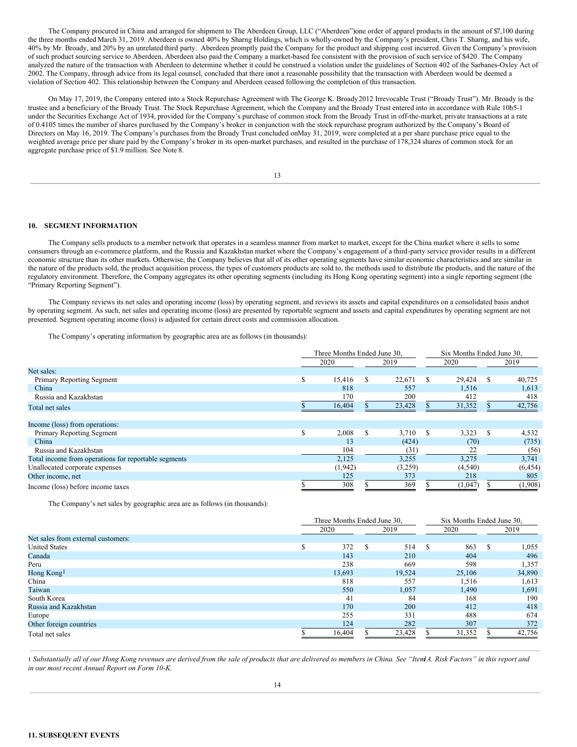The Company procured in China and arranged for shipment to The Aberdeen Group, LLC ("Aberdeen")one order of apparel products in the amount of \$7,100 during the three months ended March 31, 2019. Aberdeen is owned 40% by Sharng Holdings, which is wholly-owned by the Company's president, Chris T. Sharng, and his wife, 40% by Mr. Broady, and 20% by an unrelated third party. Aberdeen promptly paid the Company for the product and shipping cost incurred. Given the Company's provision of such product sourcing service to Aberdeen, Aberdeen also paid the Company a market-based fee consistent with the provision of such service of \$420. The Company analyzed the nature of the transaction with Aberdeen to determine whether it could be construed a violation under the guidelines of Section 402 of the Sarbanes-Oxley Act of 2002. The Company, through advice from its legal counsel, concluded that there isnot a reasonable possibility that the transaction with Aberdeen would be deemed a violation of Section 402. This relationship between the Company and Aberdeen ceased following the completion of this transaction.

On May 17, 2019, the Company entered into a Stock Repurchase Agreement with The George K. Broady2012 Irrevocable Trust ("Broady Trust"). Mr. Broady is the trustee and a beneficiary of the Broady Trust. The Stock Repurchase Agreement, which the Company and the Broady Trust entered into in accordance with Rule 10b5-1 under the Securities Exchange Act of 1934, provided for the Company's purchase of common stock from the Broady Trust in off-the-market, private transactions at a rate of 0.4105 times the number of shares purchased by the Company's broker in conjunction with the stock repurchase program authorized by the Company's Board of Directors on May 16, 2019. The Company's purchases from the Broady Trust concluded onMay 31, 2019, were completed at a per share purchase price equal to the weighted average price per share paid by the Company's broker in its open-market purchases, and resulted in the purchase of 178,324 shares of common stock for an aggregate purchase price of \$1.9 million. See Note 8.

13

#### **10. SEGMENT INFORMATION**

The Company sells products to a member network that operates in a seamless manner from market to market, except for the China market where it sells to some consumers through an e-commerce platform, and the Russia and Kazakhstan market where the Company's engagement of a third-party service provider results in a different economic structure than its other markets. Otherwise, the Company believes that all of its other operating segments have similar economic characteristics and are similar in the nature of the products sold, the product acquisition process, the types of customers products are sold to, the methods used to distribute the products, and the nature of the regulatory environment. Therefore, the Company aggregates its other operating segments (including its Hong Kong operating segment) into a single reporting segment (the "Primary Reporting Segment").

The Company reviews its net sales and operating income (loss) by operating segment, and reviews its assets and capital expenditures on a consolidated basis andnot by operating segment. As such, net sales and operating income (loss) are presented by reportable segment and assets and capital expenditures by operating segment are not presented. Segment operating income (loss) is adjusted for certain direct costs and commission allocation.

The Company's operating information by geographic area are as follows (in thousands):

|                                                      |     | Three Months Ended June 30, |     |         |      | Six Months Ended June 30, |               |          |  |
|------------------------------------------------------|-----|-----------------------------|-----|---------|------|---------------------------|---------------|----------|--|
|                                                      |     | 2020                        |     | 2019    |      | 2020                      |               | 2019     |  |
| Net sales:                                           |     |                             |     |         |      |                           |               |          |  |
| Primary Reporting Segment                            | \$  | 15,416                      | \$  | 22,671  | S    | 29,424                    | <sup>\$</sup> | 40,725   |  |
| China                                                |     | 818                         |     | 557     |      | 1,516                     |               | 1,613    |  |
| Russia and Kazakhstan                                |     | 170                         |     | 200     |      | 412                       |               | 418      |  |
| Total net sales                                      |     | 16,404                      |     | 23,428  |      | 31,352                    |               | 42,756   |  |
| Income (loss) from operations:                       |     |                             |     |         |      |                           |               |          |  |
| Primary Reporting Segment                            | \$. | 2,008                       | \$. | 3,710   | - \$ | 3,323                     | <sup>\$</sup> | 4,532    |  |
| China                                                |     | 13                          |     | (424)   |      | (70)                      |               | (735)    |  |
| Russia and Kazakhstan                                |     | 104                         |     | (31)    |      | 22                        |               | (56)     |  |
| Total income from operations for reportable segments |     | 2.125                       |     | 3,255   |      | 3.275                     |               | 3,741    |  |
| Unallocated corporate expenses                       |     | (1,942)                     |     | (3,259) |      | (4,540)                   |               | (6, 454) |  |
| Other income, net                                    |     | 125                         |     | 373     |      | 218                       |               | 805      |  |
| Income (loss) before income taxes                    |     | 308                         |     | 369     |      | (1,047)                   |               | (1,908)  |  |

The Company's net sales by geographic area are as follows (in thousands):

|                                    |              | Three Months Ended June 30, |     |        |               | Six Months Ended June 30, |      |        |  |
|------------------------------------|--------------|-----------------------------|-----|--------|---------------|---------------------------|------|--------|--|
|                                    | 2020<br>2019 |                             |     |        | 2020          |                           | 2019 |        |  |
| Net sales from external customers: |              |                             |     |        |               |                           |      |        |  |
| <b>United States</b>               |              | 372                         | \$. | 514    | <sup>\$</sup> | 863                       | S    | 1,055  |  |
| Canada                             |              | 143                         |     | 210    |               | 404                       |      | 496    |  |
| Peru                               |              | 238                         |     | 669    |               | 598                       |      | 1,357  |  |
| Hong Kong1                         |              | 13,693                      |     | 19,524 |               | 25,106                    |      | 34,890 |  |
| China                              |              | 818                         |     | 557    |               | 1,516                     |      | 1,613  |  |
| Taiwan                             |              | 550                         |     | 1,057  |               | 1,490                     |      | 1,691  |  |
| South Korea                        |              | 41                          |     | 84     |               | 168                       |      | 190    |  |
| Russia and Kazakhstan              |              | 170                         |     | 200    |               | 412                       |      | 418    |  |
| Europe                             |              | 255                         |     | 331    |               | 488                       |      | 674    |  |
| Other foreign countries            |              | 124                         |     | 282    |               | 307                       |      | 372    |  |
| Total net sales                    |              | 16.404                      |     | 23,428 |               | 31,352                    |      | 42,756 |  |

1 Substantially all of our Hong Kong revenues are derived from the sale of products that are delivered to members in China. See "Item A. Risk Factors" in this report and *in our most recent Annual Report on Form 10-K.*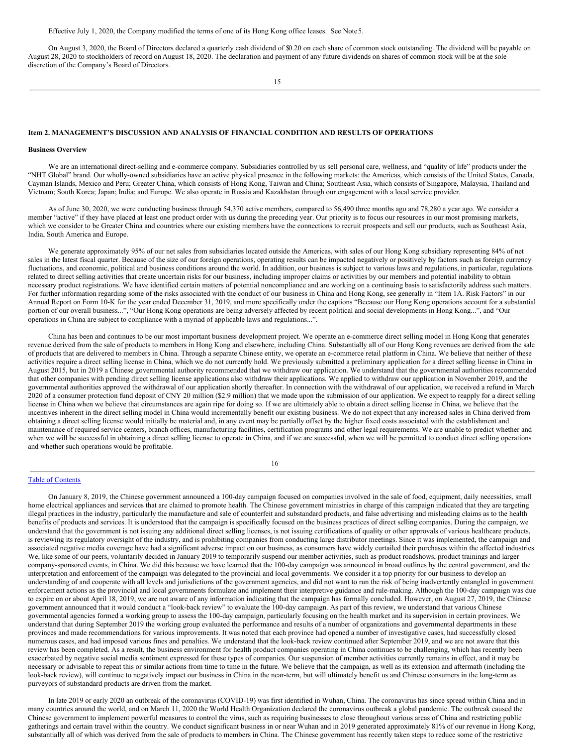Effective July 1, 2020, the Company modified the terms of one of its Hong Kong office leases. See Note5.

On August 3, 2020, the Board of Directors declared a quarterly cash dividend of \$0.20 on each share of common stock outstanding. The dividend will be payable on August 28, 2020 to stockholders of record on August 18, 2020. The declaration and payment of any future dividends on shares of common stock will be at the sole discretion of the Company's Board of Directors.

15

# **Item 2. MANAGEMENT'S DISCUSSION AND ANALYSIS OF FINANCIAL CONDITION AND RESULTS OF OPERATIONS**

### **Business Overview**

We are an international direct-selling and e-commerce company. Subsidiaries controlled by us sell personal care, wellness, and "quality of life" products under the "NHT Global" brand. Our wholly-owned subsidiaries have an active physical presence in the following markets: the Americas, which consists of the United States, Canada, Cayman Islands, Mexico and Peru; Greater China, which consists of Hong Kong, Taiwan and China; Southeast Asia, which consists of Singapore, Malaysia, Thailand and Vietnam; South Korea; Japan; India; and Europe. We also operate in Russia and Kazakhstan through our engagement with a local service provider.

As of June 30, 2020, we were conducting business through 54,370 active members, compared to 56,490 three months ago and 78,280 a year ago. We consider a member "active" if they have placed at least one product order with us during the preceding year. Our priority is to focus our resources in our most promising markets, which we consider to be Greater China and countries where our existing members have the connections to recruit prospects and sell our products, such as Southeast Asia, India, South America and Europe.

We generate approximately 95% of our net sales from subsidiaries located outside the Americas, with sales of our Hong Kong subsidiary representing 84% of net sales in the latest fiscal quarter. Because of the size of our foreign operations, operating results can be impacted negatively or positively by factors such as foreign currency fluctuations, and economic, political and business conditions around the world. In addition, our business is subject to various laws and regulations, in particular, regulations related to direct selling activities that create uncertain risks for our business, including improper claims or activities by our members and potential inability to obtain necessary product registrations. We have identified certain matters of potential noncompliance and are working on a continuing basis to satisfactorily address such matters. For further information regarding some of the risks associated with the conduct of our business in China and Hong Kong, see generally in "Item 1A. Risk Factors" in our Annual Report on Form 10-K for the year ended December 31, 2019, and more specifically under the captions "Because our Hong Kong operations account for a substantial portion of our overall business...", "Our Hong Kong operations are being adversely affected by recent political and social developments in Hong Kong...", and "Our operations in China are subject to compliance with a myriad of applicable laws and regulations...".

China has been and continues to be our most important business development project. We operate an e-commerce direct selling model in Hong Kong that generates revenue derived from the sale of products to members in Hong Kong and elsewhere, including China. Substantially all of our Hong Kong revenues are derived from the sale of products that are delivered to members in China. Through a separate Chinese entity, we operate an e-commerce retail platform in China. We believe that neither of these activities require a direct selling license in China, which we do not currently hold. We previously submitted a preliminary application for a direct selling license in China in August 2015, but in 2019 a Chinese governmental authority recommended that we withdraw our application. We understand that the governmental authorities recommended that other companies with pending direct selling license applications also withdraw their applications. We applied to withdraw our application in November 2019, and the governmental authorities approved the withdrawal of our application shortly thereafter. In connection with the withdrawal of our application, we received a refund in March 2020 of a consumer protection fund deposit of CNY 20 million (\$2.9 million) that we made upon the submission of our application. We expect to reapply for a direct selling license in China when we believe that circumstances are again ripe for doing so. If we are ultimately able to obtain a direct selling license in China, we believe that the incentives inherent in the direct selling model in China would incrementally benefit our existing business. We do not expect that any increased sales in China derived from obtaining a direct selling license would initially be material and, in any event may be partially offset by the higher fixed costs associated with the establishment and maintenance of required service centers, branch offices, manufacturing facilities, certification programs and other legal requirements. We are unable to predict whether and when we will be successful in obtaining a direct selling license to operate in China, and if we are successful, when we will be permitted to conduct direct selling operations and whether such operations would be profitable.

16

#### Table of [Contents](#page-0-0)

On January 8, 2019, the Chinese government announced a 100-day campaign focused on companies involved in the sale of food, equipment, daily necessities, small home electrical appliances and services that are claimed to promote health. The Chinese government ministries in charge of this campaign indicated that they are targeting illegal practices in the industry, particularly the manufacture and sale of counterfeit and substandard products, and false advertising and misleading claims as to the health benefits of products and services. It is understood that the campaign is specifically focused on the business practices of direct selling companies. During the campaign, we understand that the government is not issuing any additional direct selling licenses, is not issuing certifications of quality or other approvals of various healthcare products, is reviewing its regulatory oversight of the industry, and is prohibiting companies from conducting large distributor meetings. Since it was implemented, the campaign and associated negative media coverage have had a significant adverse impact on our business, as consumers have widely curtailed their purchases within the affected industries. We, like some of our peers, voluntarily decided in January 2019 to temporarily suspend our member activities, such as product roadshows, product trainings and larger company-sponsored events, in China. We did this because we have learned that the 100-day campaign was announced in broad outlines by the central government, and the interpretation and enforcement of the campaign was delegated to the provincial and local governments. We consider it a top priority for our business to develop an understanding of and cooperate with all levels and jurisdictions of the government agencies, and did not want to run the risk of being inadvertently entangled in government enforcement actions as the provincial and local governments formulate and implement their interpretive guidance and rule-making. Although the 100-day campaign was due to expire on or about April 18, 2019, we are not aware of any information indicating that the campaign has formally concluded. However, on August 27, 2019, the Chinese government announced that it would conduct a "look-back review" to evaluate the 100-day campaign. As part of this review, we understand that various Chinese governmental agencies formed a working group to assess the 100-day campaign, particularly focusing on the health market and its supervision in certain provinces. We understand that during September 2019 the working group evaluated the performance and results of a number of organizations and governmental departments in these provinces and made recommendations for various improvements. It was noted that each province had opened a number of investigative cases, had successfully closed numerous cases, and had imposed various fines and penalties. We understand that the look-back review continued after September 2019, and we are not aware that this review has been completed. As a result, the business environment for health product companies operating in China continues to be challenging, which has recently been exacerbated by negative social media sentiment expressed for these types of companies. Our suspension of member activities currently remains in effect, and it may be necessary or advisable to repeat this or similar actions from time to time in the future. We believe that the campaign, as well as its extension and aftermath (including the look-back review), will continue to negatively impact our business in China in the near-term, but will ultimately benefit us and Chinese consumers in the long-term as purveyors of substandard products are driven from the market.

In late 2019 or early 2020 an outbreak of the coronavirus (COVID-19) was first identified in Wuhan, China. The coronavirus has since spread within China and in many countries around the world, and on March 11, 2020 the World Health Organization declared the coronavirus outbreak a global pandemic. The outbreak caused the Chinese government to implement powerful measures to control the virus, such as requiring businesses to close throughout various areas of China and restricting public gatherings and certain travel within the country. We conduct significant business in or near Wuhan and in 2019 generated approximately 81% of our revenue in Hong Kong, substantially all of which was derived from the sale of products to members in China. The Chinese government has recently taken steps to reduce some of the restrictive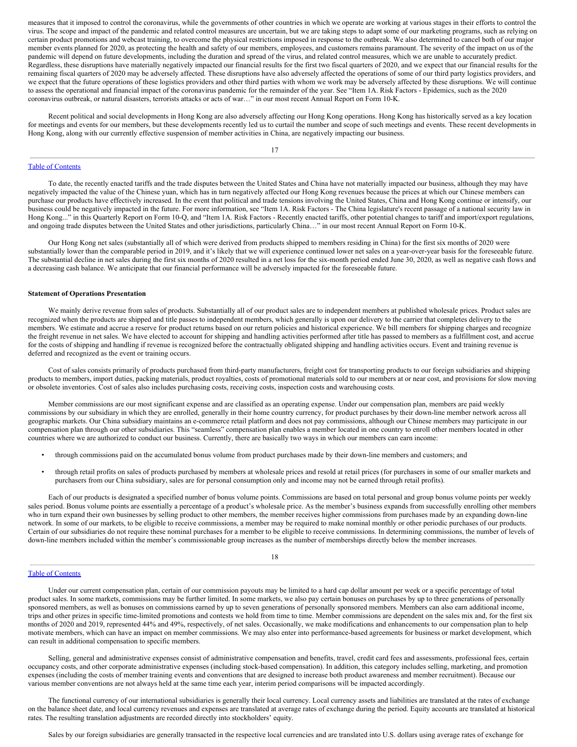measures that it imposed to control the coronavirus, while the governments of other countries in which we operate are working at various stages in their efforts to control the virus. The scope and impact of the pandemic and related control measures are uncertain, but we are taking steps to adapt some of our marketing programs, such as relying on certain product promotions and webcast training, to overcome the physical restrictions imposed in response to the outbreak. We also determined to cancel both of our major member events planned for 2020, as protecting the health and safety of our members, employees, and customers remains paramount. The severity of the impact on us of the pandemic will depend on future developments, including the duration and spread of the virus, and related control measures, which we are unable to accurately predict. Regardless, these disruptions have materially negatively impacted our financial results for the first two fiscal quarters of 2020, and we expect that our financial results for the remaining fiscal quarters of 2020 may be adversely affected. These disruptions have also adversely affected the operations of some of our third party logistics providers, and we expect that the future operations of these logistics providers and other third parties with whom we work may be adversely affected by these disruptions. We will continue to assess the operational and financial impact of the coronavirus pandemic for the remainder of the year. See "Item 1A. Risk Factors - Epidemics, such as the 2020 coronavirus outbreak, or natural disasters, terrorists attacks or acts of war…" in our most recent Annual Report on Form 10-K.

Recent political and social developments in Hong Kong are also adversely affecting our Hong Kong operations. Hong Kong has historically served as a key location for meetings and events for our members, but these developments recently led us to curtail the number and scope of such meetings and events. These recent developments in Hong Kong, along with our currently effective suspension of member activities in China, are negatively impacting our business.

17

#### Table of [Contents](#page-0-0)

To date, the recently enacted tariffs and the trade disputes between the United States and China have not materially impacted our business, although they may have negatively impacted the value of the Chinese yuan, which has in turn negatively affected our Hong Kong revenues because the prices at which our Chinese members can purchase our products have effectively increased. In the event that political and trade tensions involving the United States, China and Hong Kong continue or intensify, our business could be negatively impacted in the future. For more information, see "Item 1A. Risk Factors - The China legislature's recent passage of a national security law in Hong Kong..." in this Quarterly Report on Form 10-Q, and "Item 1A. Risk Factors - Recently enacted tariffs, other potential changes to tariff and import/export regulations, and ongoing trade disputes between the United States and other jurisdictions, particularly China…" in our most recent Annual Report on Form 10-K.

Our Hong Kong net sales (substantially all of which were derived from products shipped to members residing in China) for the first six months of 2020 were substantially lower than the comparable period in 2019, and it's likely that we will experience continued lower net sales on a year-over-year basis for the foreseeable future. The substantial decline in net sales during the first six months of 2020 resulted in a net loss for the six-month period ended June 30, 2020, as well as negative cash flows and a decreasing cash balance. We anticipate that our financial performance will be adversely impacted for the foreseeable future.

## **Statement of Operations Presentation**

We mainly derive revenue from sales of products. Substantially all of our product sales are to independent members at published wholesale prices. Product sales are recognized when the products are shipped and title passes to independent members, which generally is upon our delivery to the carrier that completes delivery to the members. We estimate and accrue a reserve for product returns based on our return policies and historical experience. We bill members for shipping charges and recognize the freight revenue in net sales. We have elected to account for shipping and handling activities performed after title has passed to members as a fulfillment cost, and accrue for the costs of shipping and handling if revenue is recognized before the contractually obligated shipping and handling activities occurs. Event and training revenue is deferred and recognized as the event or training occurs.

Cost of sales consists primarily of products purchased from third-party manufacturers, freight cost for transporting products to our foreign subsidiaries and shipping products to members, import duties, packing materials, product royalties, costs of promotional materials sold to our members at or near cost, and provisions for slow moving or obsolete inventories. Cost of sales also includes purchasing costs, receiving costs, inspection costs and warehousing costs.

Member commissions are our most significant expense and are classified as an operating expense. Under our compensation plan, members are paid weekly commissions by our subsidiary in which they are enrolled, generally in their home country currency, for product purchases by their down-line member network across all geographic markets. Our China subsidiary maintains an e-commerce retail platform and does not pay commissions, although our Chinese members may participate in our compensation plan through our other subsidiaries. This "seamless" compensation plan enables a member located in one country to enroll other members located in other countries where we are authorized to conduct our business. Currently, there are basically two ways in which our members can earn income:

- through commissions paid on the accumulated bonus volume from product purchases made by their down-line members and customers; and
- through retail profits on sales of products purchased by members at wholesale prices and resold at retail prices (for purchasers in some of our smaller markets and purchasers from our China subsidiary, sales are for personal consumption only and income may not be earned through retail profits).

Each of our products is designated a specified number of bonus volume points. Commissions are based on total personal and group bonus volume points per weekly sales period. Bonus volume points are essentially a percentage of a product's wholesale price. As the member's business expands from successfully enrolling other members who in turn expand their own businesses by selling product to other members, the member receives higher commissions from purchases made by an expanding down-line network. In some of our markets, to be eligible to receive commissions, a member may be required to make nominal monthly or other periodic purchases of our products. Certain of our subsidiaries do not require these nominal purchases for a member to be eligible to receive commissions. In determining commissions, the number of levels of down-line members included within the member's commissionable group increases as the number of memberships directly below the member increases.

# 18

#### Table of [Contents](#page-0-0)

Under our current compensation plan, certain of our commission payouts may be limited to a hard cap dollar amount per week or a specific percentage of total product sales. In some markets, commissions may be further limited. In some markets, we also pay certain bonuses on purchases by up to three generations of personally sponsored members, as well as bonuses on commissions earned by up to seven generations of personally sponsored members. Members can also earn additional income, trips and other prizes in specific time-limited promotions and contests we hold from time to time. Member commissions are dependent on the sales mix and, for the first six months of 2020 and 2019, represented 44% and 49%, respectively, of net sales. Occasionally, we make modifications and enhancements to our compensation plan to help motivate members, which can have an impact on member commissions. We may also enter into performance-based agreements for business or market development, which can result in additional compensation to specific members.

Selling, general and administrative expenses consist of administrative compensation and benefits, travel, credit card fees and assessments, professional fees, certain occupancy costs, and other corporate administrative expenses (including stock-based compensation). In addition, this category includes selling, marketing, and promotion expenses (including the costs of member training events and conventions that are designed to increase both product awareness and member recruitment). Because our various member conventions are not always held at the same time each year, interim period comparisons will be impacted accordingly.

The functional currency of our international subsidiaries is generally their local currency. Local currency assets and liabilities are translated at the rates of exchange on the balance sheet date, and local currency revenues and expenses are translated at average rates of exchange during the period. Equity accounts are translated at historical rates. The resulting translation adjustments are recorded directly into stockholders' equity.

Sales by our foreign subsidiaries are generally transacted in the respective local currencies and are translated into U.S. dollars using average rates of exchange for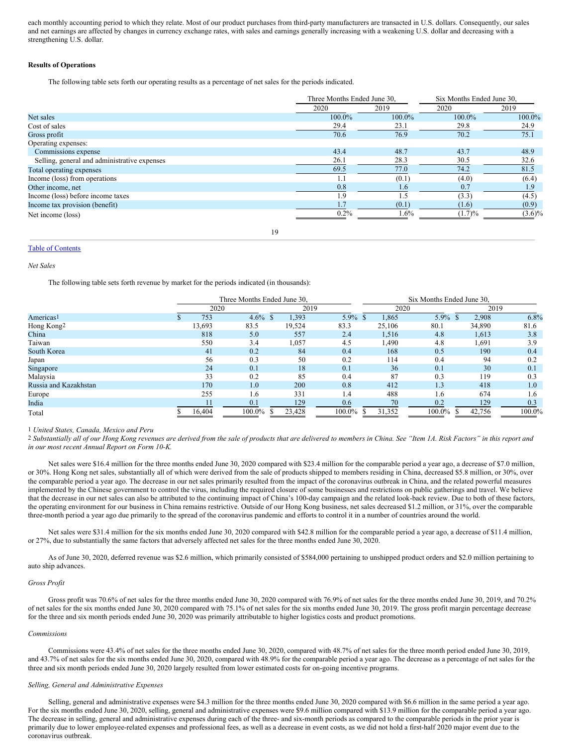each monthly accounting period to which they relate. Most of our product purchases from third-party manufacturers are transacted in U.S. dollars. Consequently, our sales and net earnings are affected by changes in currency exchange rates, with sales and earnings generally increasing with a weakening U.S. dollar and decreasing with a strengthening U.S. dollar.

# **Results of Operations**

The following table sets forth our operating results as a percentage of net sales for the periods indicated.

|                                              | Three Months Ended June 30, |        | Six Months Ended June 30, |           |  |  |
|----------------------------------------------|-----------------------------|--------|---------------------------|-----------|--|--|
|                                              | 2020                        | 2019   | 2020                      | 2019      |  |  |
| Net sales                                    | 100.0%                      | 100.0% | 100.0%                    | 100.0%    |  |  |
| Cost of sales                                | 29.4                        | 23.1   | 29.8                      | 24.9      |  |  |
| Gross profit                                 | 70.6                        | 76.9   | 70.2                      | 75.1      |  |  |
| Operating expenses:                          |                             |        |                           |           |  |  |
| Commissions expense                          | 43.4                        | 48.7   | 43.7                      | 48.9      |  |  |
| Selling, general and administrative expenses | 26.1                        | 28.3   | 30.5                      | 32.6      |  |  |
| Total operating expenses                     | 69.5                        | 77.0   | 74.2                      | 81.5      |  |  |
| Income (loss) from operations                | 1.1                         | (0.1)  | (4.0)                     | (6.4)     |  |  |
| Other income, net                            | 0.8                         | 1.6    | 0.7                       | 1.9       |  |  |
| Income (loss) before income taxes            | 1.9                         | 1.5    | (3.3)                     | (4.5)     |  |  |
| Income tax provision (benefit)               | 1.7                         | (0.1)  | (1.6)                     | (0.9)     |  |  |
| Net income (loss)                            | 0.2%                        | 1.6%   | (1.7)%                    | $(3.6)\%$ |  |  |
|                                              |                             |        |                           |           |  |  |

19

# Table of [Contents](#page-0-0)

*Net Sales*

The following table sets forth revenue by market for the periods indicated (in thousands):

|                       | Three Months Ended June 30. |        |  |        | Six Months Ended June 30. |  |        |         |  |        |        |
|-----------------------|-----------------------------|--------|--|--------|---------------------------|--|--------|---------|--|--------|--------|
|                       | 2020                        |        |  | 2019   |                           |  | 2020   |         |  | 2019   |        |
| Americas <sup>1</sup> | 753                         | 4.6%   |  | 1,393  | 5.9%                      |  | 1,865  | $5.9\%$ |  | 2,908  | 6.8%   |
| Hong Kong2            | 13,693                      | 83.5   |  | 19,524 | 83.3                      |  | 25,106 | 80.1    |  | 34,890 | 81.6   |
| China                 | 818                         | 5.0    |  | 557    | 2.4                       |  | 1,516  | 4.8     |  | 1,613  | 3.8    |
| Taiwan                | 550                         | 3.4    |  | 1,057  | 4.5                       |  | 1,490  | 4.8     |  | 1,691  | 3.9    |
| South Korea           | 41                          | 0.2    |  | 84     | 0.4                       |  | 168    | 0.5     |  | 190    | 0.4    |
| Japan                 | 56                          | 0.3    |  | 50     | 0.2                       |  | 114    | 0.4     |  | 94     | 0.2    |
| Singapore             | 24                          | 0.1    |  | 18     | 0.1                       |  | 36     | 0.1     |  | 30     | 0.1    |
| Malaysia              | 33                          | 0.2    |  | 85     | 0.4                       |  | 87     | 0.3     |  | 119    | 0.3    |
| Russia and Kazakhstan | 170                         | 1.0    |  | 200    | 0.8                       |  | 412    | 1.3     |  | 418    | 1.0    |
| Europe                | 255                         | 1.6    |  | 331    | 1.4                       |  | 488    | 1.6     |  | 674    | 1.6    |
| India                 |                             | 0.1    |  | 129    | 0.6                       |  | 70     | 0.2     |  | 129    | 0.3    |
| Total                 | 16,404                      | 100.0% |  | 23,428 | 100.0%                    |  | 31,352 | 100.0%  |  | 42,756 | 100.0% |

1 *United States, Canada, Mexico and Peru*

<sup>2</sup> Substantially all of our Hong Kong revenues are derived from the sale of products that are delivered to members in China. See "Item 1A. Risk Factors" in this report and *in our most recent Annual Report on Form 10-K.*

Net sales were \$16.4 million for the three months ended June 30, 2020 compared with \$23.4 million for the comparable period a year ago, a decrease of \$7.0 million, or 30%. Hong Kong net sales, substantially all of which were derived from the sale of products shipped to members residing in China, decreased \$5.8 million, or 30%, over the comparable period a year ago. The decrease in our net sales primarily resulted from the impact of the coronavirus outbreak in China, and the related powerful measures implemented by the Chinese government to control the virus, including the required closure of some businesses and restrictions on public gatherings and travel. We believe that the decrease in our net sales can also be attributed to the continuing impact of China's 100-day campaign and the related look-back review. Due to both of these factors, the operating environment for our business in China remains restrictive. Outside of our Hong Kong business, net sales decreased \$1.2 million, or 31%, over the comparable three-month period a year ago due primarily to the spread of the coronavirus pandemic and efforts to control it in a number of countries around the world.

Net sales were \$31.4 million for the six months ended June 30, 2020 compared with \$42.8 million for the comparable period a year ago, a decrease of \$11.4 million, or 27%, due to substantially the same factors that adversely affected net sales for the three months ended June 30, 2020.

As of June 30, 2020, deferred revenue was \$2.6 million, which primarily consisted of \$584,000 pertaining to unshipped product orders and \$2.0 million pertaining to auto ship advances.

# *Gross Profit*

Gross profit was 70.6% of net sales for the three months ended June 30, 2020 compared with 76.9% of net sales for the three months ended June 30, 2019, and 70.2% of net sales for the six months ended June 30, 2020 compared with 75.1% of net sales for the six months ended June 30, 2019. The gross profit margin percentage decrease for the three and six month periods ended June 30, 2020 was primarily attributable to higher logistics costs and product promotions.

#### *Commissions*

Commissions were 43.4% of net sales for the three months ended June 30, 2020, compared with 48.7% of net sales for the three month period ended June 30, 2019, and 43.7% of net sales for the six months ended June 30, 2020, compared with 48.9% for the comparable period a year ago. The decrease as a percentage of net sales for the three and six month periods ended June 30, 2020 largely resulted from lower estimated costs for on-going incentive programs.

#### *Selling, General and Administrative Expenses*

Selling, general and administrative expenses were \$4.3 million for the three months ended June 30, 2020 compared with \$6.6 million in the same period a year ago. For the six months ended June 30, 2020, selling, general and administrative expenses were \$9.6 million compared with \$13.9 million for the comparable period a year ago. The decrease in selling, general and administrative expenses during each of the three- and six-month periods as compared to the comparable periods in the prior year is primarily due to lower employee-related expenses and professional fees, as well as a decrease in event costs, as we did not hold a first-half 2020 major event due to the coronavirus outbreak.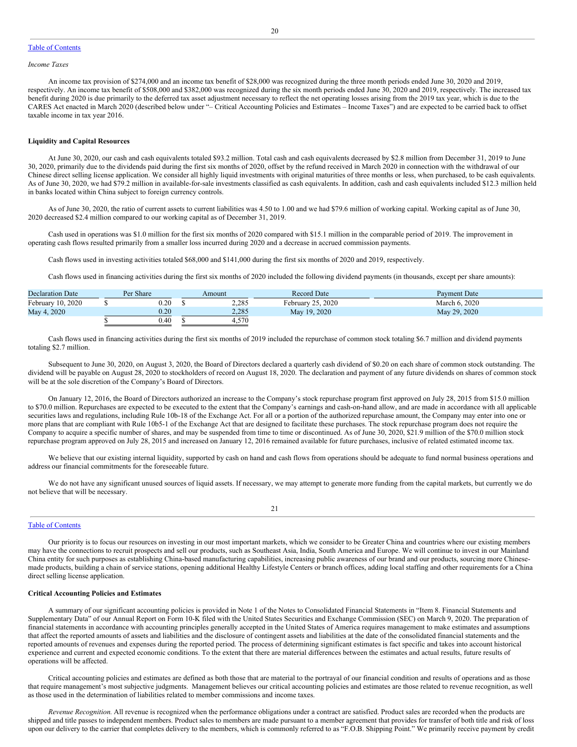## Table of [Contents](#page-0-0)

#### *Income Taxes*

An income tax provision of \$274,000 and an income tax benefit of \$28,000 was recognized during the three month periods ended June 30, 2020 and 2019, respectively. An income tax benefit of \$508,000 and \$382,000 was recognized during the six month periods ended June 30, 2020 and 2019, respectively. The increased tax benefit during 2020 is due primarily to the deferred tax asset adjustment necessary to reflect the net operating losses arising from the 2019 tax year, which is due to the CARES Act enacted in March 2020 (described below under "– Critical Accounting Policies and Estimates – Income Taxes") and are expected to be carried back to offset taxable income in tax year 2016.

#### **Liquidity and Capital Resources**

At June 30, 2020, our cash and cash equivalents totaled \$93.2 million. Total cash and cash equivalents decreased by \$2.8 million from December 31, 2019 to June 30, 2020, primarily due to the dividends paid during the first six months of 2020, offset by the refund received in March 2020 in connection with the withdrawal of our Chinese direct selling license application. We consider all highly liquid investments with original maturities of three months or less, when purchased, to be cash equivalents. As of June 30, 2020, we had \$79.2 million in available-for-sale investments classified as cash equivalents. In addition, cash and cash equivalents included \$12.3 million held in banks located within China subject to foreign currency controls.

As of June 30, 2020, the ratio of current assets to current liabilities was 4.50 to 1.00 and we had \$79.6 million of working capital. Working capital as of June 30, 2020 decreased \$2.4 million compared to our working capital as of December 31, 2019.

Cash used in operations was \$1.0 million for the first six months of 2020 compared with \$15.1 million in the comparable period of 2019. The improvement in operating cash flows resulted primarily from a smaller loss incurred during 2020 and a decrease in accrued commission payments.

Cash flows used in investing activities totaled \$68,000 and \$141,000 during the first six months of 2020 and 2019, respectively.

Cash flows used in financing activities during the first six months of 2020 included the following dividend payments (in thousands, except per share amounts):

| <b>Declaration Date</b> | Per Share |  | Amount | <b>Record Date</b> | <b>Payment Date</b> |  |  |
|-------------------------|-----------|--|--------|--------------------|---------------------|--|--|
| February 10, 2020       | 0.20      |  | 2,285  | February 25, 2020  | March 6, 2020       |  |  |
| May 4, 2020             | 0.20      |  | 2,285  | May 19, 2020       | May 29, 2020        |  |  |
|                         | 0.40      |  | 4.570  |                    |                     |  |  |

Cash flows used in financing activities during the first six months of 2019 included the repurchase of common stock totaling \$6.7 million and dividend payments totaling \$2.7 million.

Subsequent to June 30, 2020, on August 3, 2020, the Board of Directors declared a quarterly cash dividend of \$0.20 on each share of common stock outstanding. The dividend will be payable on August 28, 2020 to stockholders of record on August 18, 2020. The declaration and payment of any future dividends on shares of common stock will be at the sole discretion of the Company's Board of Directors.

On January 12, 2016, the Board of Directors authorized an increase to the Company's stock repurchase program first approved on July 28, 2015 from \$15.0 million to \$70.0 million. Repurchases are expected to be executed to the extent that the Company's earnings and cash-on-hand allow, and are made in accordance with all applicable securities laws and regulations, including Rule 10b-18 of the Exchange Act. For all or a portion of the authorized repurchase amount, the Company may enter into one or more plans that are compliant with Rule 10b5-1 of the Exchange Act that are designed to facilitate these purchases. The stock repurchase program does not require the Company to acquire a specific number of shares, and may be suspended from time to time or discontinued. As of June 30, 2020, \$21.9 million of the \$70.0 million stock repurchase program approved on July 28, 2015 and increased on January 12, 2016 remained available for future purchases, inclusive of related estimated income tax.

We believe that our existing internal liquidity, supported by cash on hand and cash flows from operations should be adequate to fund normal business operations and address our financial commitments for the foreseeable future.

We do not have any significant unused sources of liquid assets. If necessary, we may attempt to generate more funding from the capital markets, but currently we do not believe that will be necessary.

21

#### Table of [Contents](#page-0-0)

Our priority is to focus our resources on investing in our most important markets, which we consider to be Greater China and countries where our existing members may have the connections to recruit prospects and sell our products, such as Southeast Asia, India, South America and Europe. We will continue to invest in our Mainland China entity for such purposes as establishing China-based manufacturing capabilities, increasing public awareness of our brand and our products, sourcing more Chinesemade products, building a chain of service stations, opening additional Healthy Lifestyle Centers or branch offices, adding local staffing and other requirements for a China direct selling license application.

#### **Critical Accounting Policies and Estimates**

A summary of our significant accounting policies is provided in Note 1 of the Notes to Consolidated Financial Statements in "Item 8. Financial Statements and Supplementary Data" of our Annual Report on Form 10-K filed with the United States Securities and Exchange Commission (SEC) on March 9, 2020. The preparation of financial statements in accordance with accounting principles generally accepted in the United States of America requires management to make estimates and assumptions that affect the reported amounts of assets and liabilities and the disclosure of contingent assets and liabilities at the date of the consolidated financial statements and the reported amounts of revenues and expenses during the reported period. The process of determining significant estimates is fact specific and takes into account historical experience and current and expected economic conditions. To the extent that there are material differences between the estimates and actual results, future results of operations will be affected.

Critical accounting policies and estimates are defined as both those that are material to the portrayal of our financial condition and results of operations and as those that require management's most subjective judgments. Management believes our critical accounting policies and estimates are those related to revenue recognition, as well as those used in the determination of liabilities related to member commissions and income taxes.

*Revenue Recognition*. All revenue is recognized when the performance obligations under a contract are satisfied. Product sales are recorded when the products are shipped and title passes to independent members. Product sales to members are made pursuant to a member agreement that provides for transfer of both title and risk of loss upon our delivery to the carrier that completes delivery to the members, which is commonly referred to as "F.O.B. Shipping Point." We primarily receive payment by credit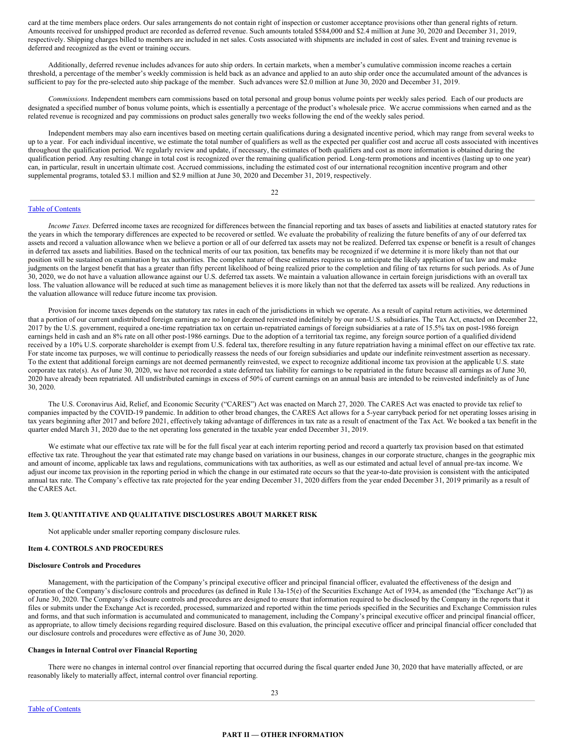card at the time members place orders. Our sales arrangements do not contain right of inspection or customer acceptance provisions other than general rights of return. Amounts received for unshipped product are recorded as deferred revenue. Such amounts totaled \$584,000 and \$2.4 million at June 30, 2020 and December 31, 2019, respectively. Shipping charges billed to members are included in net sales. Costs associated with shipments are included in cost of sales. Event and training revenue is deferred and recognized as the event or training occurs.

Additionally, deferred revenue includes advances for auto ship orders. In certain markets, when a member's cumulative commission income reaches a certain threshold, a percentage of the member's weekly commission is held back as an advance and applied to an auto ship order once the accumulated amount of the advances is sufficient to pay for the pre-selected auto ship package of the member. Such advances were \$2.0 million at June 30, 2020 and December 31, 2019.

*Commissions*. Independent members earn commissions based on total personal and group bonus volume points per weekly sales period. Each of our products are designated a specified number of bonus volume points, which is essentially a percentage of the product's wholesale price. We accrue commissions when earned and as the related revenue is recognized and pay commissions on product sales generally two weeks following the end of the weekly sales period.

Independent members may also earn incentives based on meeting certain qualifications during a designated incentive period, which may range from several weeks to up to a year. For each individual incentive, we estimate the total number of qualifiers as well as the expected per qualifier cost and accrue all costs associated with incentives throughout the qualification period. We regularly review and update, if necessary, the estimates of both qualifiers and cost as more information is obtained during the qualification period. Any resulting change in total cost is recognized over the remaining qualification period. Long-term promotions and incentives (lasting up to one year) can, in particular, result in uncertain ultimate cost. Accrued commissions, including the estimated cost of our international recognition incentive program and other supplemental programs, totaled \$3.1 million and \$2.9 million at June 30, 2020 and December 31, 2019, respectively.

22

### Table of [Contents](#page-0-0)

*Income Taxes.* Deferred income taxes are recognized for differences between the financial reporting and tax bases of assets and liabilities at enacted statutory rates for the years in which the temporary differences are expected to be recovered or settled. We evaluate the probability of realizing the future benefits of any of our deferred tax assets and record a valuation allowance when we believe a portion or all of our deferred tax assets may not be realized. Deferred tax expense or benefit is a result of changes in deferred tax assets and liabilities. Based on the technical merits of our tax position, tax benefits may be recognized if we determine it is more likely than not that our position will be sustained on examination by tax authorities. The complex nature of these estimates requires us to anticipate the likely application of tax law and make judgments on the largest benefit that has a greater than fifty percent likelihood of being realized prior to the completion and filing of tax returns for such periods. As of June 30, 2020, we do not have a valuation allowance against our U.S. deferred tax assets. We maintain a valuation allowance in certain foreign jurisdictions with an overall tax loss. The valuation allowance will be reduced at such time as management believes it is more likely than not that the deferred tax assets will be realized. Any reductions in the valuation allowance will reduce future income tax provision.

Provision for income taxes depends on the statutory tax rates in each of the jurisdictions in which we operate. As a result of capital return activities, we determined that a portion of our current undistributed foreign earnings are no longer deemed reinvested indefinitely by our non-U.S. subsidiaries. The Tax Act, enacted on December 22, 2017 by the U.S. government, required a one-time repatriation tax on certain un-repatriated earnings of foreign subsidiaries at a rate of 15.5% tax on post-1986 foreign earnings held in cash and an 8% rate on all other post-1986 earnings. Due to the adoption of a territorial tax regime, any foreign source portion of a qualified dividend received by a 10% U.S. corporate shareholder is exempt from U.S. federal tax, therefore resulting in any future repatriation having a minimal effect on our effective tax rate. For state income tax purposes, we will continue to periodically reassess the needs of our foreign subsidiaries and update our indefinite reinvestment assertion as necessary. To the extent that additional foreign earnings are not deemed permanently reinvested, we expect to recognize additional income tax provision at the applicable U.S. state corporate tax rate(s). As of June 30, 2020, we have not recorded a state deferred tax liability for earnings to be repatriated in the future because all earnings as of June 30, 2020 have already been repatriated. All undistributed earnings in excess of 50% of current earnings on an annual basis are intended to be reinvested indefinitely as of June 30, 2020.

The U.S. Coronavirus Aid, Relief, and Economic Security ("CARES") Act was enacted on March 27, 2020. The CARES Act was enacted to provide tax relief to companies impacted by the COVID-19 pandemic. In addition to other broad changes, the CARES Act allows for a 5-year carryback period for net operating losses arising in tax years beginning after 2017 and before 2021, effectively taking advantage of differences in tax rate as a result of enactment of the Tax Act. We booked a tax benefit in the quarter ended March 31, 2020 due to the net operating loss generated in the taxable year ended December 31, 2019.

We estimate what our effective tax rate will be for the full fiscal year at each interim reporting period and record a quarterly tax provision based on that estimated effective tax rate. Throughout the year that estimated rate may change based on variations in our business, changes in our corporate structure, changes in the geographic mix and amount of income, applicable tax laws and regulations, communications with tax authorities, as well as our estimated and actual level of annual pre-tax income. We adjust our income tax provision in the reporting period in which the change in our estimated rate occurs so that the year-to-date provision is consistent with the anticipated annual tax rate. The Company's effective tax rate projected for the year ending December 31, 2020 differs from the year ended December 31, 2019 primarily as a result of the CARES Act.

## **Item 3. QUANTITATIVE AND QUALITATIVE DISCLOSURES ABOUT MARKET RISK**

Not applicable under smaller reporting company disclosure rules.

# **Item 4. CONTROLS AND PROCEDURES**

### **Disclosure Controls and Procedures**

Management, with the participation of the Company's principal executive officer and principal financial officer, evaluated the effectiveness of the design and operation of the Company's disclosure controls and procedures (as defined in Rule 13a-15(e) of the Securities Exchange Act of 1934, as amended (the "Exchange Act")) as of June 30, 2020. The Company's disclosure controls and procedures are designed to ensure that information required to be disclosed by the Company in the reports that it files or submits under the Exchange Act is recorded, processed, summarized and reported within the time periods specified in the Securities and Exchange Commission rules and forms, and that such information is accumulated and communicated to management, including the Company's principal executive officer and principal financial officer, as appropriate, to allow timely decisions regarding required disclosure. Based on this evaluation, the principal executive officer and principal financial officer concluded that our disclosure controls and procedures were effective as of June 30, 2020.

#### **Changes in Internal Control over Financial Reporting**

There were no changes in internal control over financial reporting that occurred during the fiscal quarter ended June 30, 2020 that have materially affected, or are reasonably likely to materially affect, internal control over financial reporting.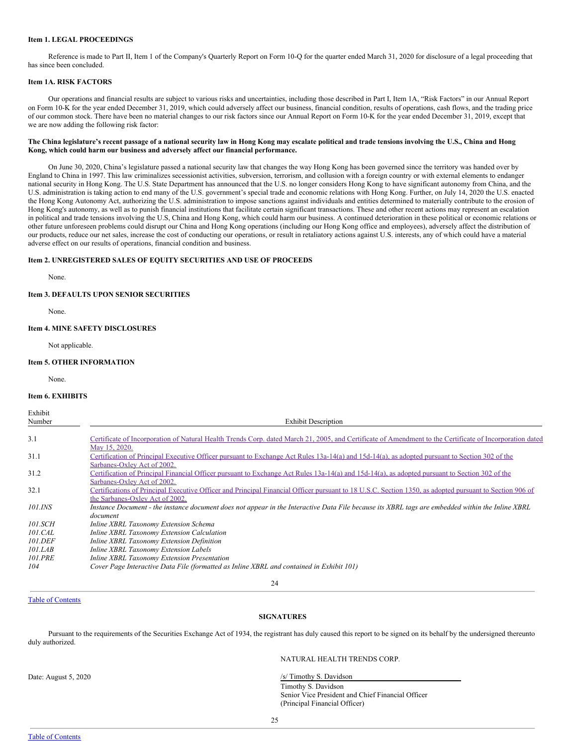# **Item 1. LEGAL PROCEEDINGS**

Reference is made to Part II, Item 1 of the Company's Quarterly Report on Form 10-Q for the quarter ended March 31, 2020 for disclosure of a legal proceeding that has since been concluded.

## **Item 1A. RISK FACTORS**

Our operations and financial results are subject to various risks and uncertainties, including those described in Part I, Item 1A, "Risk Factors" in our Annual Report on Form 10-K for the year ended December 31, 2019, which could adversely affect our business, financial condition, results of operations, cash flows, and the trading price of our common stock. There have been no material changes to our risk factors since our Annual Report on Form 10-K for the year ended December 31, 2019, except that we are now adding the following risk factor:

# The China legislature's recent passage of a national security law in Hong Kong may escalate political and trade tensions involving the U.S., China and Hong **Kong, which could harm our business and adversely affect our financial performance.**

On June 30, 2020, China's legislature passed a national security law that changes the way Hong Kong has been governed since the territory was handed over by England to China in 1997. This law criminalizes secessionist activities, subversion, terrorism, and collusion with a foreign country or with external elements to endanger national security in Hong Kong. The U.S. State Department has announced that the U.S. no longer considers Hong Kong to have significant autonomy from China, and the U.S. administration is taking action to end many of the U.S. government's special trade and economic relations with Hong Kong. Further, on July 14, 2020 the U.S. enacted the Hong Kong Autonomy Act, authorizing the U.S. administration to impose sanctions against individuals and entities determined to materially contribute to the erosion of Hong Kong's autonomy, as well as to punish financial institutions that facilitate certain significant transactions. These and other recent actions may represent an escalation in political and trade tensions involving the U.S, China and Hong Kong, which could harm our business. A continued deterioration in these political or economic relations or other future unforeseen problems could disrupt our China and Hong Kong operations (including our Hong Kong office and employees), adversely affect the distribution of our products, reduce our net sales, increase the cost of conducting our operations, or result in retaliatory actions against U.S. interests, any of which could have a material adverse effect on our results of operations, financial condition and business.

# **Item 2. UNREGISTERED SALES OF EQUITY SECURITIES AND USE OF PROCEEDS**

None.

# **Item 3. DEFAULTS UPON SENIOR SECURITIES**

None.

# **Item 4. MINE SAFETY DISCLOSURES**

Not applicable.

# **Item 5. OTHER INFORMATION**

None.

#### **Item 6. EXHIBITS**

Exhibit Number **Exhibit Description** 

| 3.1            | Certificate of Incorporation of Natural Health Trends Corp. dated March 21, 2005, and Certificate of Amendment to the Certificate of Incorporation dated |
|----------------|----------------------------------------------------------------------------------------------------------------------------------------------------------|
|                | May 15, 2020.                                                                                                                                            |
| 31.1           | Certification of Principal Executive Officer pursuant to Exchange Act Rules 13a-14(a) and 15d-14(a), as adopted pursuant to Section 302 of the           |
|                | Sarbanes-Oxley Act of 2002.                                                                                                                              |
| 31.2           | Certification of Principal Financial Officer pursuant to Exchange Act Rules 13a-14(a) and 15d-14(a), as adopted pursuant to Section 302 of the           |
|                | Sarbanes-Oxley Act of 2002.                                                                                                                              |
| 32.1           | Certifications of Principal Executive Officer and Principal Financial Officer pursuant to 18 U.S.C. Section 1350, as adopted pursuant to Section 906 of  |
|                | the Sarbanes-Oxley Act of 2002.                                                                                                                          |
| 101.INS        | Instance Document - the instance document does not appear in the Interactive Data File because its XBRL tags are embedded within the Inline XBRL         |
|                | document                                                                                                                                                 |
| <i>101.SCH</i> | Inline XBRL Taxonomy Extension Schema                                                                                                                    |
| 101.CAL        | Inline XBRL Taxonomy Extension Calculation                                                                                                               |
| 101.DEF        | Inline XBRL Taxonomy Extension Definition                                                                                                                |
| 101.LAB        | Inline XBRL Taxonomy Extension Labels                                                                                                                    |
| <b>101.PRE</b> | Inline XBRL Taxonomy Extension Presentation                                                                                                              |
| 104            | Cover Page Interactive Data File (formatted as Inline XBRL and contained in Exhibit 101)                                                                 |
|                |                                                                                                                                                          |

# 24

# Table of [Contents](#page-0-0)

# **SIGNATURES**

Pursuant to the requirements of the Securities Exchange Act of 1934, the registrant has duly caused this report to be signed on its behalf by the undersigned thereunto duly authorized.

NATURAL HEALTH TRENDS CORP.

Date: August 5, 2020 /s/ Timothy S. Davidson Timothy S. Davidson Senior Vice President and Chief Financial Officer (Principal Financial Officer)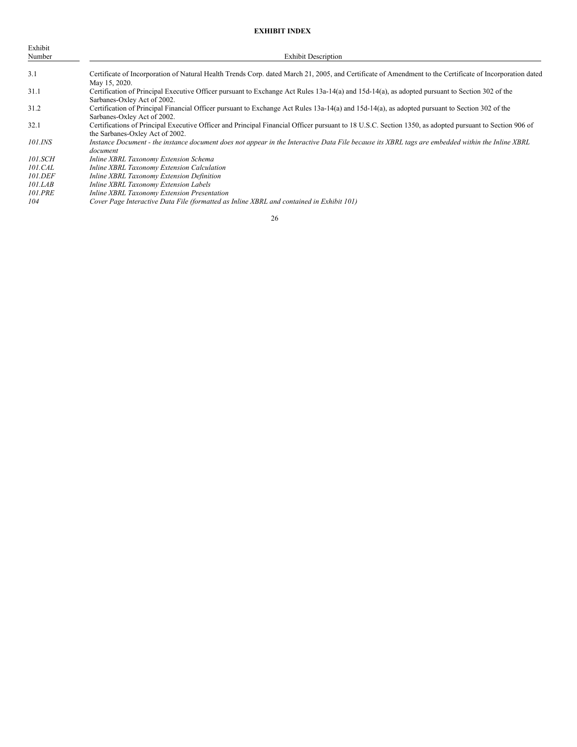# **EXHIBIT INDEX**

| Exhibit<br>Number     | <b>Exhibit Description</b>                                                                                                                                                                 |
|-----------------------|--------------------------------------------------------------------------------------------------------------------------------------------------------------------------------------------|
| 3.1                   | Certificate of Incorporation of Natural Health Trends Corp. dated March 21, 2005, and Certificate of Amendment to the Certificate of Incorporation dated<br>May 15, 2020.                  |
| 31.1                  | Certification of Principal Executive Officer pursuant to Exchange Act Rules 13a-14(a) and 15d-14(a), as adopted pursuant to Section 302 of the<br>Sarbanes-Oxley Act of 2002.              |
| 31.2                  | Certification of Principal Financial Officer pursuant to Exchange Act Rules 13a-14(a) and 15d-14(a), as adopted pursuant to Section 302 of the<br>Sarbanes-Oxley Act of 2002.              |
| 32.1                  | Certifications of Principal Executive Officer and Principal Financial Officer pursuant to 18 U.S.C. Section 1350, as adopted pursuant to Section 906 of<br>the Sarbanes-Oxley Act of 2002. |
| 101.INS               | Instance Document - the instance document does not appear in the Interactive Data File because its XBRL tags are embedded within the Inline XBRL<br>document                               |
| <i>101.SCH</i>        | Inline XBRL Taxonomy Extension Schema                                                                                                                                                      |
| 101.CAL               | Inline XBRL Taxonomy Extension Calculation                                                                                                                                                 |
| <i>101.DEF</i>        | Inline XBRL Taxonomy Extension Definition                                                                                                                                                  |
| 101.LAB               | Inline XBRL Taxonomy Extension Labels                                                                                                                                                      |
| <i><b>101.PRE</b></i> | Inline XBRL Taxonomy Extension Presentation                                                                                                                                                |
| 104                   | Cover Page Interactive Data File (formatted as Inline XBRL and contained in Exhibit 101)                                                                                                   |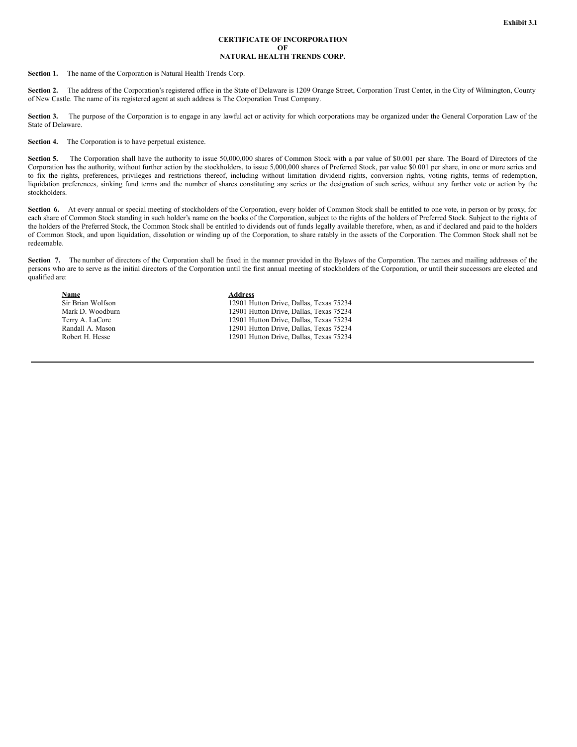#### **CERTIFICATE OF INCORPORATION OF NATURAL HEALTH TRENDS CORP.**

**Section 1.** The name of the Corporation is Natural Health Trends Corp.

Section 2. The address of the Corporation's registered office in the State of Delaware is 1209 Orange Street, Corporation Trust Center, in the City of Wilmington, County of New Castle. The name of its registered agent at such address is The Corporation Trust Company.

Section 3. The purpose of the Corporation is to engage in any lawful act or activity for which corporations may be organized under the General Corporation Law of the State of Delaware.

**Section 4.** The Corporation is to have perpetual existence.

Section 5. The Corporation shall have the authority to issue 50,000,000 shares of Common Stock with a par value of \$0.001 per share. The Board of Directors of the Corporation has the authority, without further action by the stockholders, to issue 5,000,000 shares of Preferred Stock, par value \$0.001 per share, in one or more series and to fix the rights, preferences, privileges and restrictions thereof, including without limitation dividend rights, conversion rights, voting rights, terms of redemption, liquidation preferences, sinking fund terms and the number of shares constituting any series or the designation of such series, without any further vote or action by the stockholders.

Section 6. At every annual or special meeting of stockholders of the Corporation, every holder of Common Stock shall be entitled to one vote, in person or by proxy, for each share of Common Stock standing in such holder's name on the books of the Corporation, subject to the rights of the holders of Preferred Stock. Subject to the rights of the holders of the Preferred Stock, the Common Stock shall be entitled to dividends out of funds legally available therefore, when, as and if declared and paid to the holders of Common Stock, and upon liquidation, dissolution or winding up of the Corporation, to share ratably in the assets of the Corporation. The Common Stock shall not be redeemable.

Section 7. The number of directors of the Corporation shall be fixed in the manner provided in the Bylaws of the Corporation. The names and mailing addresses of the persons who are to serve as the initial directors of the Corporation until the first annual meeting of stockholders of the Corporation, or until their successors are elected and qualified are:

**Name Address**

Sir Brian Wolfson 12901 Hutton Drive, Dallas, Texas 75234<br>Mark D. Woodburn 12901 Hutton Drive, Dallas, Texas 75234 12901 Hutton Drive, Dallas, Texas 75234 Terry A. LaCore 12901 Hutton Drive, Dallas, Texas 75234 Randall A. Mason 12901 Hutton Drive, Dallas, Texas 75234<br>
Robert H. Hesse 12901 Hutton Drive, Dallas, Texas 75234 12901 Hutton Drive, Dallas, Texas 75234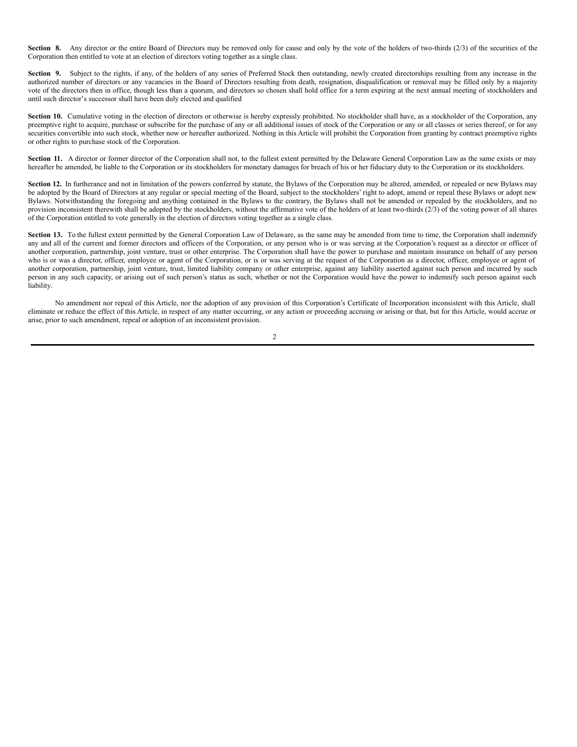<span id="page-20-0"></span>**Section** 8. Any director or the entire Board of Directors may be removed only for cause and only by the vote of the holders of two-thirds (2/3) of the securities of the Corporation then entitled to vote at an election of directors voting together as a single class.

Section 9. Subject to the rights, if any, of the holders of any series of Preferred Stock then outstanding, newly created directorships resulting from any increase in the authorized number of directors or any vacancies in the Board of Directors resulting from death, resignation, disqualification or removal may be filled only by a majority vote of the directors then in office, though less than a quorum, and directors so chosen shall hold office for a term expiring at the next annual meeting of stockholders and until such director's successor shall have been duly elected and qualified

Section 10. Cumulative voting in the election of directors or otherwise is hereby expressly prohibited. No stockholder shall have, as a stockholder of the Corporation, any preemptive right to acquire, purchase or subscribe for the purchase of any or all additional issues of stock of the Corporation or any or all classes or series thereof, or for any securities convertible into such stock, whether now or hereafter authorized. Nothing in this Article will prohibit the Corporation from granting by contract preemptive rights or other rights to purchase stock of the Corporation.

Section 11. A director or former director of the Corporation shall not, to the fullest extent permitted by the Delaware General Corporation Law as the same exists or may hereafter be amended, be liable to the Corporation or its stockholders for monetary damages for breach of his or her fiduciary duty to the Corporation or its stockholders.

**Section 12.** In furtherance and not in limitation of the powers conferred by statute, the Bylaws of the Corporation may be altered, amended, or repealed or new Bylaws may be adopted by the Board of Directors at any regular or special meeting of the Board, subject to the stockholders' right to adopt, amend or repeal these Bylaws or adopt new Bylaws. Notwithstanding the foregoing and anything contained in the Bylaws to the contrary, the Bylaws shall not be amended or repealed by the stockholders, and no provision inconsistent therewith shall be adopted by the stockholders, without the affirmative vote of the holders of at least two-thirds (2/3) of the voting power of all shares of the Corporation entitled to vote generally in the election of directors voting together as a single class.

Section 13. To the fullest extent permitted by the General Corporation Law of Delaware, as the same may be amended from time to time, the Corporation shall indemnify any and all of the current and former directors and officers of the Corporation, or any person who is or was serving at the Corporation's request as a director or officer of another corporation, partnership, joint venture, trust or other enterprise. The Corporation shall have the power to purchase and maintain insurance on behalf of any person who is or was a director, officer, employee or agent of the Corporation, or is or was serving at the request of the Corporation as a director, officer, employee or agent of another corporation, partnership, joint venture, trust, limited liability company or other enterprise, against any liability asserted against such person and incurred by such person in any such capacity, or arising out of such person's status as such, whether or not the Corporation would have the power to indemnify such person against such liability.

No amendment nor repeal of this Article, nor the adoption of any provision of this Corporation's Certificate of Incorporation inconsistent with this Article, shall eliminate or reduce the effect of this Article, in respect of any matter occurring, or any action or proceeding accruing or arising or that, but for this Article, would accrue or arise, prior to such amendment, repeal or adoption of an inconsistent provision.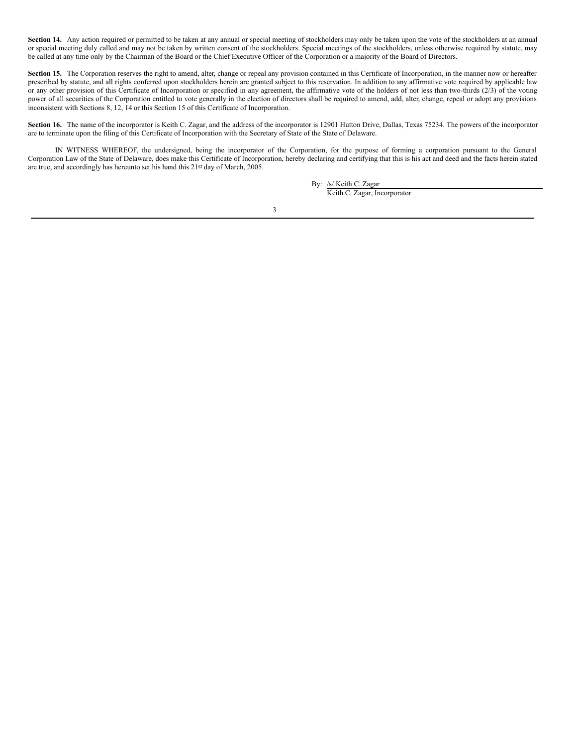Section 14. Any action required or permitted to be taken at any annual or special meeting of stockholders may only be taken upon the vote of the stockholders at an annual or special meeting duly called and may not be taken by written consent of the stockholders. Special meetings of the stockholders, unless otherwise required by statute, may be called at any time only by the Chairman of the Board or the Chief Executive Officer of the Corporation or a majority of the Board of Directors.

Section 15. The Corporation reserves the right to amend, alter, change or repeal any provision contained in this Certificate of Incorporation, in the manner now or hereafter prescribed by statute, and all rights conferred upon stockholders herein are granted subject to this reservation. In addition to any affirmative vote required by applicable law or any other provision of this Certificate of Incorporation or specified in any agreement, the affirmative vote of the holders of not less than two-thirds (2/3) of the voting power of all securities of the Corporation entitled to vote generally in the election of directors shall be required to amend, add, alter, change, repeal or adopt any provisions inconsistent with Sections 8, 12, 14 or this Section 15 of this Certificate of Incorporation.

Section 16. The name of the incorporator is Keith C. Zagar, and the address of the incorporator is 12901 Hutton Drive, Dallas, Texas 75234. The powers of the incorporator are to terminate upon the filing of this Certificate of Incorporation with the Secretary of State of the State of Delaware.

IN WITNESS WHEREOF, the undersigned, being the incorporator of the Corporation, for the purpose of forming a corporation pursuant to the General Corporation Law of the State of Delaware, does make this Certificate of Incorporation, hereby declaring and certifying that this is his act and deed and the facts herein stated are true, and accordingly has hereunto set his hand this 21st day of March, 2005.

> By: /s/ Keith C. Zagar Keith C. Zagar, Incorporator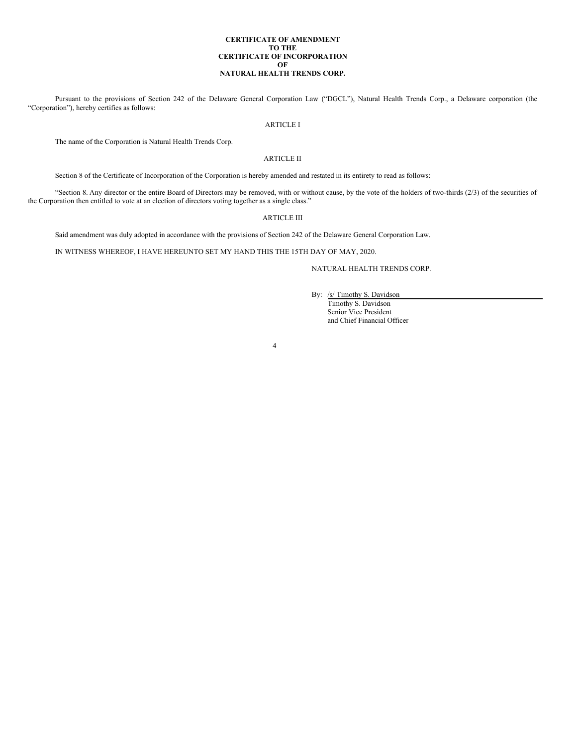# **CERTIFICATE OF AMENDMENT TO THE CERTIFICATE OF INCORPORATION OF NATURAL HEALTH TRENDS CORP.**

Pursuant to the provisions of Section 242 of the Delaware General Corporation Law ("DGCL"), Natural Health Trends Corp., a Delaware corporation (the "Corporation"), hereby certifies as follows:

# ARTICLE I

The name of the Corporation is Natural Health Trends Corp.

# ARTICLE II

Section 8 of the Certificate of Incorporation of the Corporation is hereby amended and restated in its entirety to read as follows:

"Section 8. Any director or the entire Board of Directors may be removed, with or without cause, by the vote of the holders of two-thirds (2/3) of the securities of the Corporation then entitled to vote at an election of directors voting together as a single class."

# ARTICLE III

Said amendment was duly adopted in accordance with the provisions of Section 242 of the Delaware General Corporation Law.

IN WITNESS WHEREOF, I HAVE HEREUNTO SET MY HAND THIS THE 15TH DAY OF MAY, 2020.

# NATURAL HEALTH TRENDS CORP.

By: /s/ Timothy S. Davidson Timothy S. Davidson Senior Vice President and Chief Financial Officer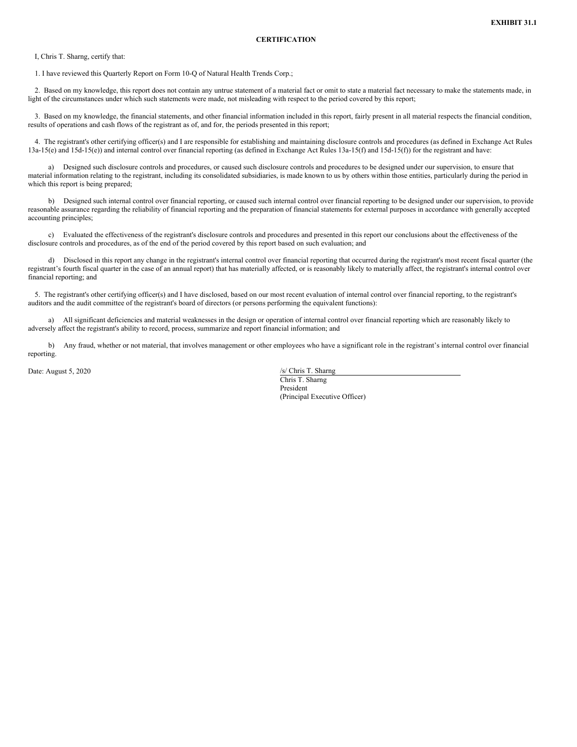<span id="page-23-0"></span>I, Chris T. Sharng, certify that:

1. I have reviewed this Quarterly Report on Form 10-Q of Natural Health Trends Corp.;

2. Based on my knowledge, this report does not contain any untrue statement of a material fact or omit to state a material fact necessary to make the statements made, in light of the circumstances under which such statements were made, not misleading with respect to the period covered by this report;

3. Based on my knowledge, the financial statements, and other financial information included in this report, fairly present in all material respects the financial condition, results of operations and cash flows of the registrant as of, and for, the periods presented in this report;

4. The registrant's other certifying officer(s) and I are responsible for establishing and maintaining disclosure controls and procedures (as defined in Exchange Act Rules 13a-15(e) and 15d-15(e)) and internal control over financial reporting (as defined in Exchange Act Rules 13a-15(f) and 15d-15(f)) for the registrant and have:

a) Designed such disclosure controls and procedures, or caused such disclosure controls and procedures to be designed under our supervision, to ensure that material information relating to the registrant, including its consolidated subsidiaries, is made known to us by others within those entities, particularly during the period in which this report is being prepared;

b) Designed such internal control over financial reporting, or caused such internal control over financial reporting to be designed under our supervision, to provide reasonable assurance regarding the reliability of financial reporting and the preparation of financial statements for external purposes in accordance with generally accepted accounting principles;

c) Evaluated the effectiveness of the registrant's disclosure controls and procedures and presented in this report our conclusions about the effectiveness of the disclosure controls and procedures, as of the end of the period covered by this report based on such evaluation; and

d) Disclosed in this report any change in the registrant's internal control over financial reporting that occurred during the registrant's most recent fiscal quarter (the registrant's fourth fiscal quarter in the case of an annual report) that has materially affected, or is reasonably likely to materially affect, the registrant's internal control over financial reporting; and

5. The registrant's other certifying officer(s) and I have disclosed, based on our most recent evaluation of internal control over financial reporting, to the registrant's auditors and the audit committee of the registrant's board of directors (or persons performing the equivalent functions):

a) All significant deficiencies and material weaknesses in the design or operation of internal control over financial reporting which are reasonably likely to adversely affect the registrant's ability to record, process, summarize and report financial information; and

b) Any fraud, whether or not material, that involves management or other employees who have a significant role in the registrant's internal control over financial reporting.

Date: August 5, 2020 /s/ Chris T. Sharng

Chris T. Sharng President (Principal Executive Officer)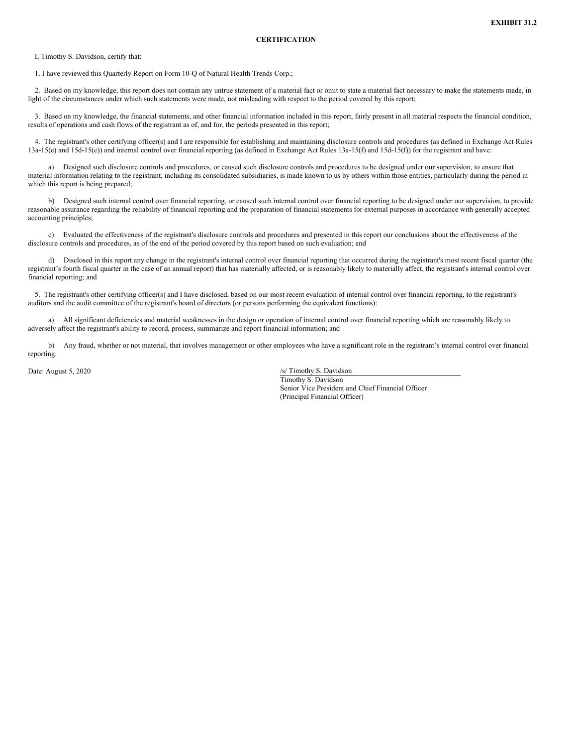<span id="page-24-0"></span>I, Timothy S. Davidson, certify that:

1. I have reviewed this Quarterly Report on Form 10-Q of Natural Health Trends Corp.;

2. Based on my knowledge, this report does not contain any untrue statement of a material fact or omit to state a material fact necessary to make the statements made, in light of the circumstances under which such statements were made, not misleading with respect to the period covered by this report;

3. Based on my knowledge, the financial statements, and other financial information included in this report, fairly present in all material respects the financial condition, results of operations and cash flows of the registrant as of, and for, the periods presented in this report;

4. The registrant's other certifying officer(s) and I are responsible for establishing and maintaining disclosure controls and procedures (as defined in Exchange Act Rules 13a-15(e) and 15d-15(e)) and internal control over financial reporting (as defined in Exchange Act Rules 13a-15(f) and 15d-15(f)) for the registrant and have:

a) Designed such disclosure controls and procedures, or caused such disclosure controls and procedures to be designed under our supervision, to ensure that material information relating to the registrant, including its consolidated subsidiaries, is made known to us by others within those entities, particularly during the period in which this report is being prepared;

b) Designed such internal control over financial reporting, or caused such internal control over financial reporting to be designed under our supervision, to provide reasonable assurance regarding the reliability of financial reporting and the preparation of financial statements for external purposes in accordance with generally accepted accounting principles;

c) Evaluated the effectiveness of the registrant's disclosure controls and procedures and presented in this report our conclusions about the effectiveness of the disclosure controls and procedures, as of the end of the period covered by this report based on such evaluation; and

d) Disclosed in this report any change in the registrant's internal control over financial reporting that occurred during the registrant's most recent fiscal quarter (the registrant's fourth fiscal quarter in the case of an annual report) that has materially affected, or is reasonably likely to materially affect, the registrant's internal control over financial reporting; and

5. The registrant's other certifying officer(s) and I have disclosed, based on our most recent evaluation of internal control over financial reporting, to the registrant's auditors and the audit committee of the registrant's board of directors (or persons performing the equivalent functions):

a) All significant deficiencies and material weaknesses in the design or operation of internal control over financial reporting which are reasonably likely to adversely affect the registrant's ability to record, process, summarize and report financial information; and

b) Any fraud, whether or not material, that involves management or other employees who have a significant role in the registrant's internal control over financial reporting.

Date: August 5, 2020 /s/ Timothy S. Davidson

Timothy S. Davidson Senior Vice President and Chief Financial Officer (Principal Financial Officer)